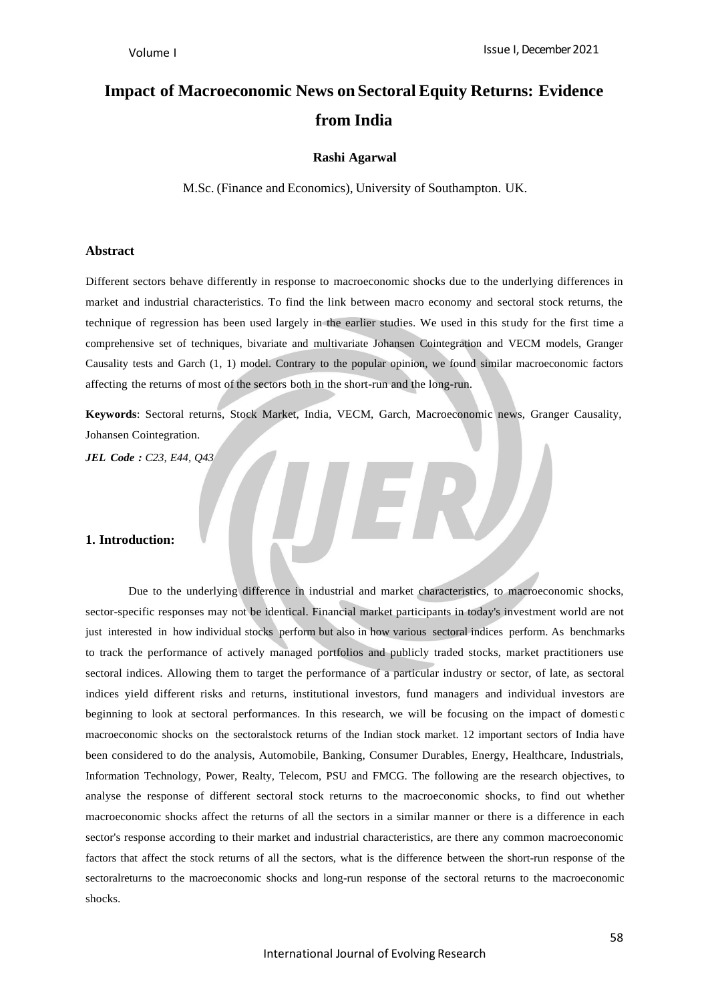# **Impact of Macroeconomic News on Sectoral Equity Returns: Evidence from India**

### **Rashi Agarwal**

M.Sc. (Finance and Economics), University of Southampton. UK.

#### **Abstract**

Different sectors behave differently in response to macroeconomic shocks due to the underlying differences in market and industrial characteristics. To find the link between macro economy and sectoral stock returns, the technique of regression has been used largely in the earlier studies. We used in this study for the first time a comprehensive set of techniques, bivariate and multivariate Johansen Cointegration and VECM models, Granger Causality tests and Garch (1, 1) model. Contrary to the popular opinion, we found similar macroeconomic factors affecting the returns of most of the sectors both in the short-run and the long-run.

**Keywords**: Sectoral returns, Stock Market, India, VECM, Garch, Macroeconomic news, Granger Causality, Johansen Cointegration.

*JEL Code : C23, E44, Q43*

### **1. Introduction:**

Due to the underlying difference in industrial and market characteristics, to macroeconomic shocks, sector-specific responses may not be identical. Financial market participants in today's investment world are not just interested in how individual stocks perform but also in how various sectoral indices perform. As benchmarks to track the performance of actively managed portfolios and publicly traded stocks, market practitioners use sectoral indices. Allowing them to target the performance of a particular industry or sector, of late, as sectoral indices yield different risks and returns, institutional investors, fund managers and individual investors are beginning to look at sectoral performances. In this research, we will be focusing on the impact of domestic macroeconomic shocks on the sectoralstock returns of the Indian stock market. 12 important sectors of India have been considered to do the analysis, Automobile, Banking, Consumer Durables, Energy, Healthcare, Industrials, Information Technology, Power, Realty, Telecom, PSU and FMCG. The following are the research objectives, to analyse the response of different sectoral stock returns to the macroeconomic shocks, to find out whether macroeconomic shocks affect the returns of all the sectors in a similar manner or there is a difference in each sector's response according to their market and industrial characteristics, are there any common macroeconomic factors that affect the stock returns of all the sectors, what is the difference between the short-run response of the sectoralreturns to the macroeconomic shocks and long-run response of the sectoral returns to the macroeconomic shocks.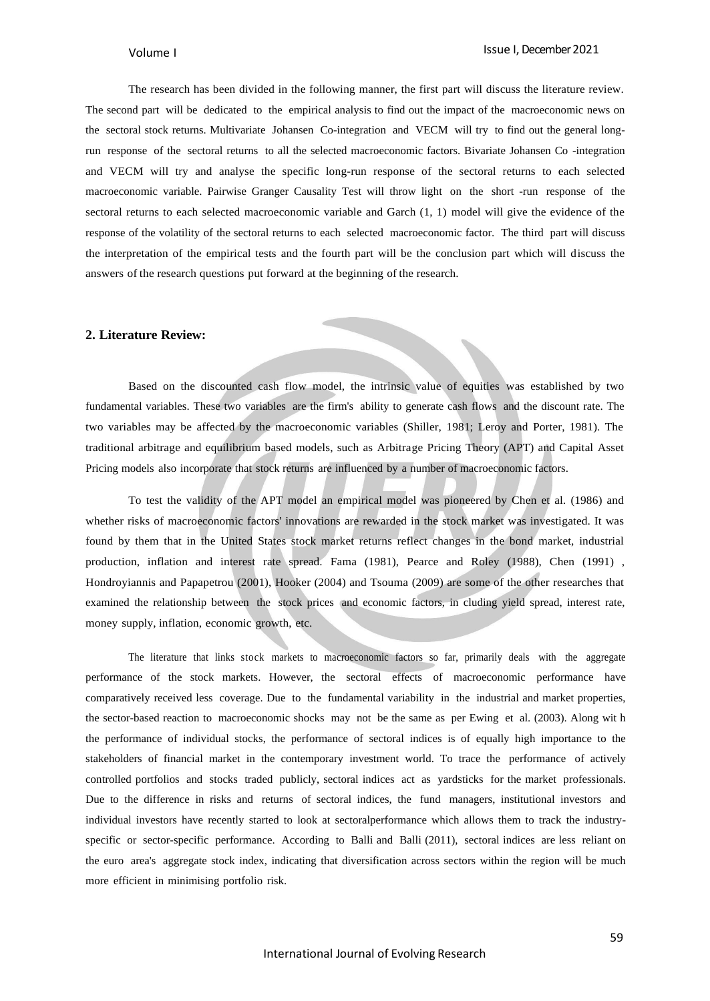The research has been divided in the following manner, the first part will discuss the literature review. The second part will be dedicated to the empirical analysis to find out the impact of the macroeconomic news on the sectoral stock returns. Multivariate Johansen Co-integration and VECM will try to find out the general longrun response of the sectoral returns to all the selected macroeconomic factors. Bivariate Johansen Co -integration and VECM will try and analyse the specific long-run response of the sectoral returns to each selected macroeconomic variable. Pairwise Granger Causality Test will throw light on the short -run response of the sectoral returns to each selected macroeconomic variable and Garch (1, 1) model will give the evidence of the response of the volatility of the sectoral returns to each selected macroeconomic factor. The third part will discuss the interpretation of the empirical tests and the fourth part will be the conclusion part which will discuss the answers of the research questions put forward at the beginning of the research.

### **2. Literature Review:**

Based on the discounted cash flow model, the intrinsic value of equities was established by two fundamental variables. These two variables are the firm's ability to generate cash flows and the discount rate. The two variables may be affected by the macroeconomic variables (Shiller, 1981; Leroy and Porter, 1981). The traditional arbitrage and equilibrium based models, such as Arbitrage Pricing Theory (APT) and Capital Asset Pricing models also incorporate that stock returns are influenced by a number of macroeconomic factors.

To test the validity of the APT model an empirical model was pioneered by Chen et al. (1986) and whether risks of macroeconomic factors' innovations are rewarded in the stock market was investigated. It was found by them that in the United States stock market returns reflect changes in the bond market, industrial production, inflation and interest rate spread. Fama (1981), Pearce and Roley (1988), Chen (1991) , Hondroyiannis and Papapetrou (2001), Hooker (2004) and Tsouma (2009) are some of the other researches that examined the relationship between the stock prices and economic factors, in cluding yield spread, interest rate, money supply, inflation, economic growth, etc.

The literature that links stock markets to macroeconomic factors so far, primarily deals with the aggregate performance of the stock markets. However, the sectoral effects of macroeconomic performance have comparatively received less coverage. Due to the fundamental variability in the industrial and market properties, the sector-based reaction to macroeconomic shocks may not be the same as per Ewing et al. (2003). Along wit h the performance of individual stocks, the performance of sectoral indices is of equally high importance to the stakeholders of financial market in the contemporary investment world. To trace the performance of actively controlled portfolios and stocks traded publicly, sectoral indices act as yardsticks for the market professionals. Due to the difference in risks and returns of sectoral indices, the fund managers, institutional investors and individual investors have recently started to look at sectoralperformance which allows them to track the industryspecific or sector-specific performance. According to Balli and Balli (2011), sectoral indices are less reliant on the euro area's aggregate stock index, indicating that diversification across sectors within the region will be much more efficient in minimising portfolio risk.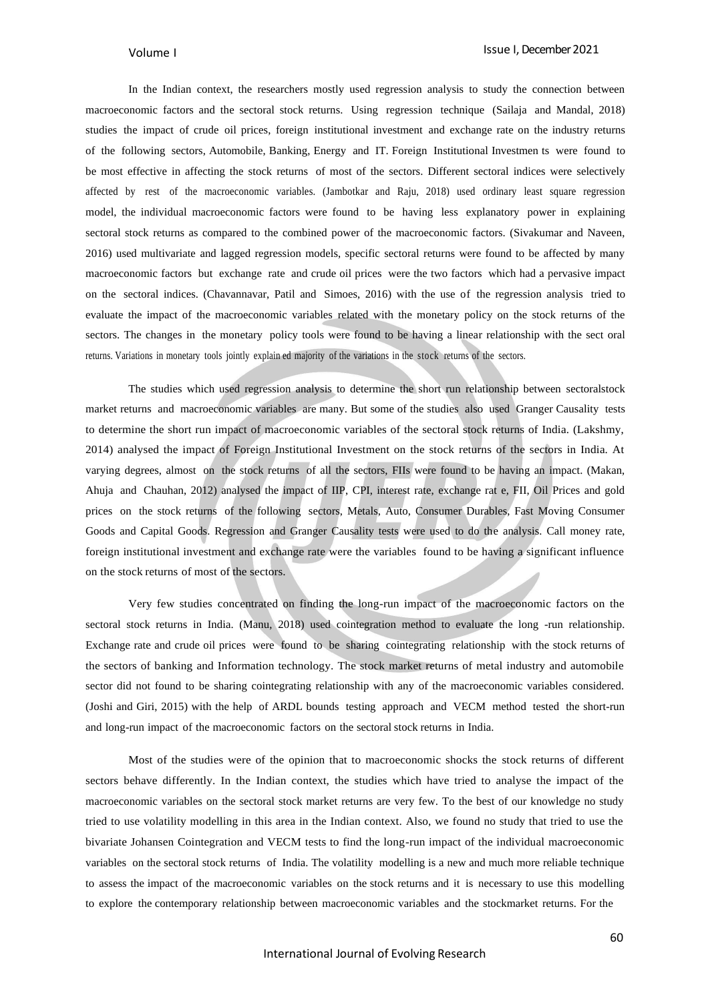In the Indian context, the researchers mostly used regression analysis to study the connection between macroeconomic factors and the sectoral stock returns. Using regression technique (Sailaja and Mandal, 2018) studies the impact of crude oil prices, foreign institutional investment and exchange rate on the industry returns of the following sectors, Automobile, Banking, Energy and IT. Foreign Institutional Investmen ts were found to be most effective in affecting the stock returns of most of the sectors. Different sectoral indices were selectively affected by rest of the macroeconomic variables. (Jambotkar and Raju, 2018) used ordinary least square regression model, the individual macroeconomic factors were found to be having less explanatory power in explaining sectoral stock returns as compared to the combined power of the macroeconomic factors. (Sivakumar and Naveen, 2016) used multivariate and lagged regression models, specific sectoral returns were found to be affected by many macroeconomic factors but exchange rate and crude oil prices were the two factors which had a pervasive impact on the sectoral indices. (Chavannavar, Patil and Simoes, 2016) with the use of the regression analysis tried to evaluate the impact of the macroeconomic variables related with the monetary policy on the stock returns of the sectors. The changes in the monetary policy tools were found to be having a linear relationship with the sect oral returns. Variations in monetary tools jointly explain ed majority of the variations in the stock returns of the sectors.

The studies which used regression analysis to determine the short run relationship between sectoralstock market returns and macroeconomic variables are many. But some of the studies also used Granger Causality tests to determine the short run impact of macroeconomic variables of the sectoral stock returns of India. (Lakshmy, 2014) analysed the impact of Foreign Institutional Investment on the stock returns of the sectors in India. At varying degrees, almost on the stock returns of all the sectors, FIIs were found to be having an impact. (Makan, Ahuja and Chauhan, 2012) analysed the impact of IIP, CPI, interest rate, exchange rat e, FII, Oil Prices and gold prices on the stock returns of the following sectors, Metals, Auto, Consumer Durables, Fast Moving Consumer Goods and Capital Goods. Regression and Granger Causality tests were used to do the analysis. Call money rate, foreign institutional investment and exchange rate were the variables found to be having a significant influence on the stock returns of most of the sectors.

Very few studies concentrated on finding the long-run impact of the macroeconomic factors on the sectoral stock returns in India. (Manu, 2018) used cointegration method to evaluate the long -run relationship. Exchange rate and crude oil prices were found to be sharing cointegrating relationship with the stock returns of the sectors of banking and Information technology. The stock market returns of metal industry and automobile sector did not found to be sharing cointegrating relationship with any of the macroeconomic variables considered. (Joshi and Giri, 2015) with the help of ARDL bounds testing approach and VECM method tested the short-run and long-run impact of the macroeconomic factors on the sectoral stock returns in India.

Most of the studies were of the opinion that to macroeconomic shocks the stock returns of different sectors behave differently. In the Indian context, the studies which have tried to analyse the impact of the macroeconomic variables on the sectoral stock market returns are very few. To the best of our knowledge no study tried to use volatility modelling in this area in the Indian context. Also, we found no study that tried to use the bivariate Johansen Cointegration and VECM tests to find the long-run impact of the individual macroeconomic variables on the sectoral stock returns of India. The volatility modelling is a new and much more reliable technique to assess the impact of the macroeconomic variables on the stock returns and it is necessary to use this modelling to explore the contemporary relationship between macroeconomic variables and the stockmarket returns. For the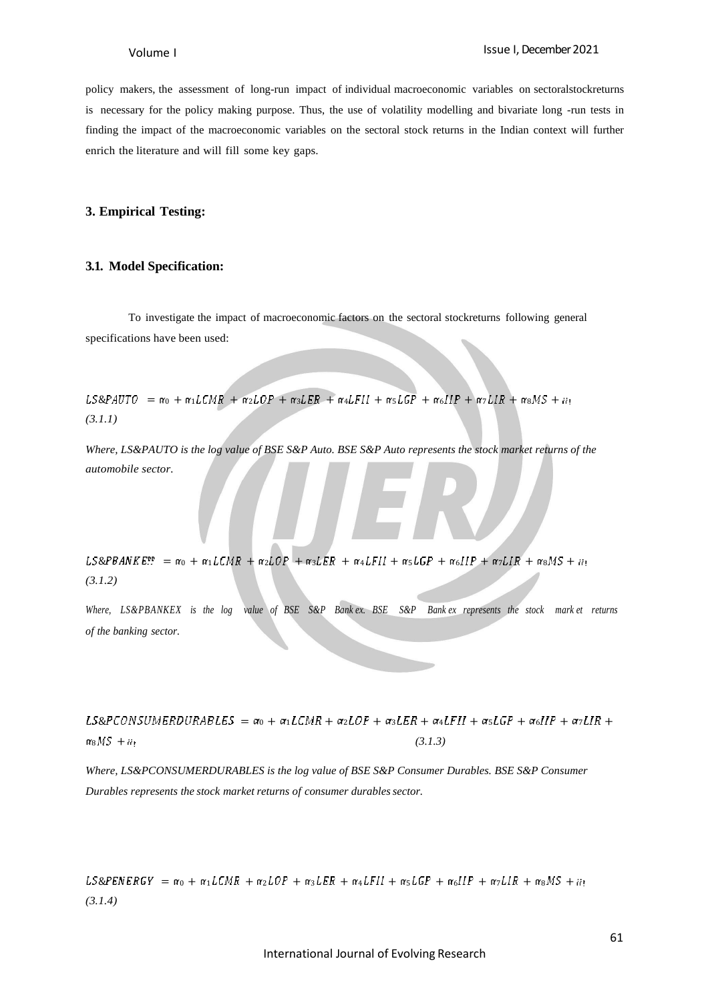policy makers, the assessment of long-run impact of individual macroeconomic variables on sectoralstockreturns is necessary for the policy making purpose. Thus, the use of volatility modelling and bivariate long -run tests in finding the impact of the macroeconomic variables on the sectoral stock returns in the Indian context will further enrich the literature and will fill some key gaps.

#### **3. Empirical Testing:**

#### **3.1. Model Specification:**

To investigate the impact of macroeconomic factors on the sectoral stockreturns following general specifications have been used:

 $LS\&PAUTO = \alpha_0 + \alpha_1 LCMR + \alpha_2 LOP + \alpha_3 LER + \alpha_4 LFII + \alpha_5 LGP + \alpha_6 IIP + \alpha_7 LIR + \alpha_8 MS + \alpha_1$ *(3.1.1)*

*Where, LS&PAUTO is the log value of BSE S&P Auto. BSE S&P Auto represents the stock market returns of the automobile sector.*

 $LS\&PBANKE:: = \alpha_0 + \alpha_1 LCMR + \alpha_2 LOP + \alpha_3 LER + \alpha_4 LFII + \alpha_5 LGP + \alpha_6 IIP + \alpha_7 LIR + \alpha_8 MS + \mu_7$ *(3.1.2)*

*Where, LS&PBANKEX is the log value of BSE S&P Bank ex. BSE S&P Bank ex represents the stock mark et returns of the banking sector.*

 $LS\&PCONSUMERDURABLES = \alpha_0 + \alpha_1 LCMR + \alpha_2 LOP + \alpha_3 LER + \alpha_4 LFII + \alpha_5 LGP + \alpha_6 IIP + \alpha_7 LIR +$  $\pi_8 MS + i i_1$  (3.1.3)

*Where, LS&PCONSUMERDURABLES is the log value of BSE S&P Consumer Durables. BSE S&P Consumer Durables represents the stock market returns of consumer durablessector.*

 $LS\&PENERGY = \alpha_0 + \alpha_1 LCMR + \alpha_2 LOP + \alpha_3 LER + \alpha_4 LFII + \alpha_5 LGP + \alpha_6 IIP + \alpha_7 LIR + \alpha_8 MS + \mu_1$ *(3.1.4)*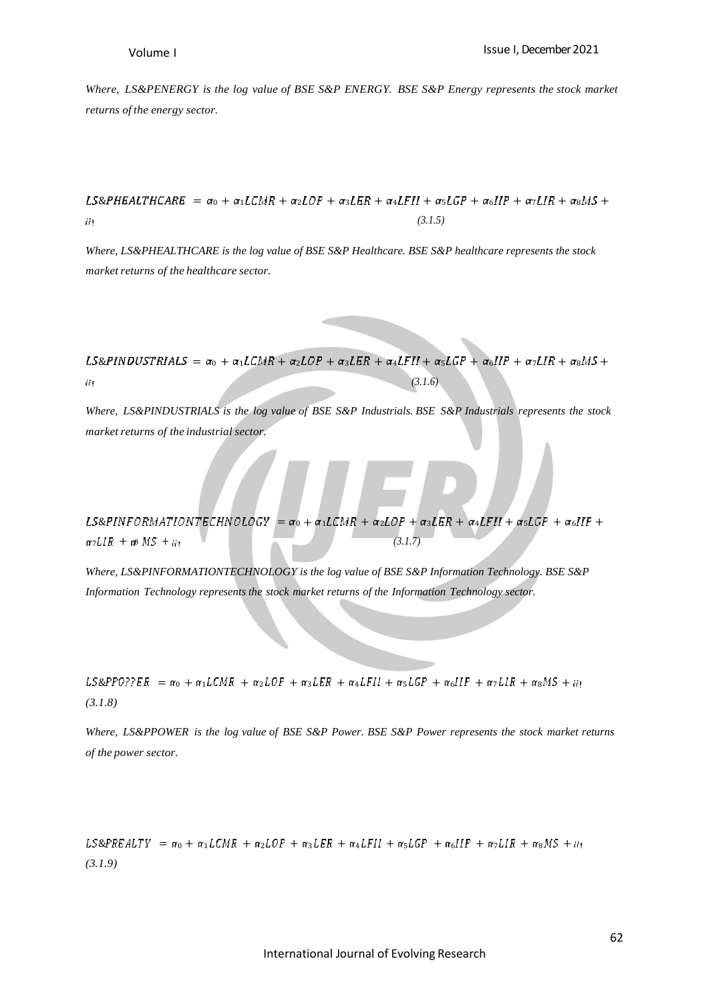*Where, LS&PENERGY is the log value of BSE S&P ENERGY. BSE S&P Energy represents the stock market returns of the energy sector.*

#### $LS\&PHEALTHCARE = \alpha_0 + \alpha_1 LCMR + \alpha_2 LOP + \alpha_3 LER + \alpha_4 LFI + \alpha_5 LGP + \alpha_6 IIP + \alpha_7 LIR + \alpha_8 MS +$ *(3.1.5)* ä.

*Where, LS&PHEALTHCARE is the log value of BSE S&P Healthcare. BSE S&P healthcare represents the stock*  $maxket$  *returns of the healthcare sector*.

 $LS\&PINDUSTRIALS = \alpha_0 + \alpha_1 LCMR + \alpha_2 LOP + \alpha_3 LER + \alpha_4 LFII + \alpha_5 LGP + \alpha_6 IIP + \alpha_7 LIR + \alpha_8 MS +$ *(3.1.6)* ήķ,

*Where, LS&PINDUSTRIALS is the log value of BSE S&P Industrials. BSE S&P Industrials represents the stock*  $maxket$  *returns of the industrial sector.* 

LS&PINFORMATIONTECHNOLOGY =  $\alpha_0 + \alpha_1 L C M R + \alpha_2 L O P + \alpha_3 L E R + \alpha_4 L F II + \alpha_5 L G P + \alpha_6 I I P +$  $\alpha$ *7LIR* +  $\alpha$ *MS* + *ii*;  $(3.1.7)$ 

*Where, LS&PINFORMATIONTECHNOLOGY is the log value of BSE S&P Information Technology. BSE S&P Information Technology represents the stock market returns of the Information Technology sector.*

 $LS\&PPO7?ER = \alpha_0 + \alpha_1 LCMR + \alpha_2 LOP + \alpha_3 LER + \alpha_4 LFII + \alpha_5 LGP + \alpha_6 IIP + \alpha_7 LIR + \alpha_8 MS + \alpha_1$ *(3.1.8)*

Where, LS&PPOWER is the log value of BSE S&P Power. BSE S&P Power represents the stock market returns *of the power sector.*

 $LS\&PREALTY = \alpha_0 + \alpha_1 LCMR + \alpha_2 LOP + \alpha_3 LER + \alpha_4 LFII + \alpha_5 LGP + \alpha_6 IIP + \alpha_7 LIR + \alpha_8 MS + \alpha_1$ *(3.1.9)*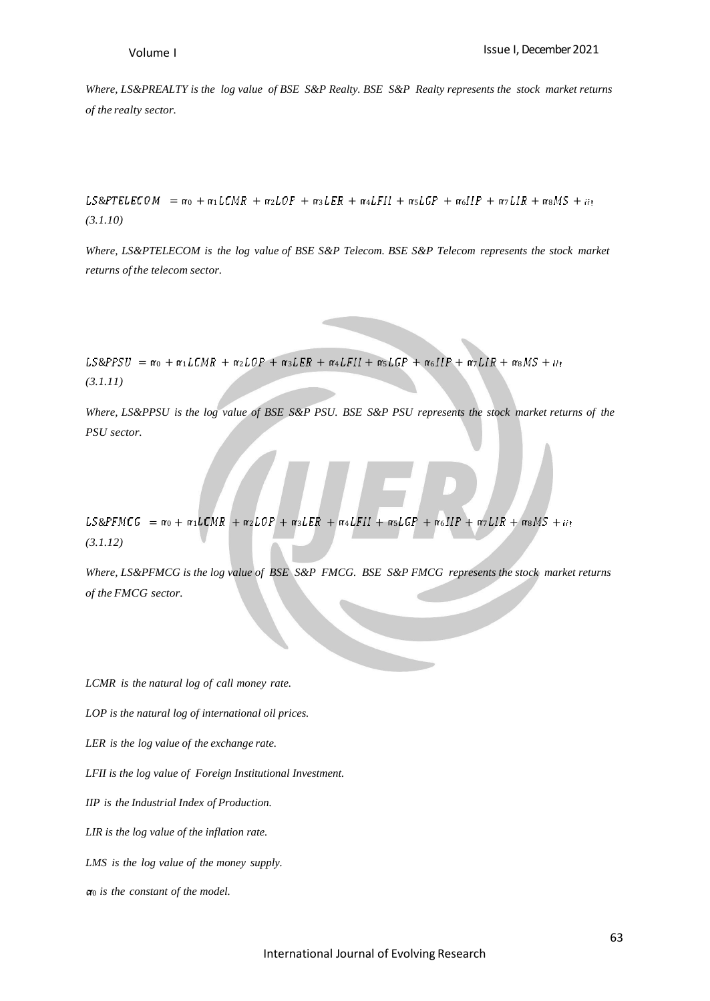*Where, LS&PREALTY is the log value of BSE S&P Realty. BSE S&P Realty represents the stock market returns of the realty sector.*

 $LS\&PTELECON = \alpha_0 + \alpha_1 LCMR + \alpha_2 LOP + \alpha_3 LER + \alpha_4 LFII + \alpha_5 LGP + \alpha_6 IIP + \alpha_7 LIR + \alpha_8 MS + \alpha_1$ *(3.1.10)*

*Where, LS&PTELECOM is the log value of BSE S&P Telecom. BSE S&P Telecom represents the stock market returns of the telecom sector.*

 $LS\&PISU = \alpha_0 + \alpha_1 LCMR + \alpha_2 LOP + \alpha_3 LER + \alpha_4 LFII + \alpha_5 LGP + \alpha_6 IIP + \alpha_7 LIR + \alpha_8 MS + \alpha_1$ *(3.1.11)*

Where, LS&PPSU is the log value of BSE S&P PSU. BSE S&P PSU represents the stock market returns of the *PSU sector.*

 $LS\&PFMCG = \alpha_0 + \alpha_1 LCMR + \alpha_2 LOP + \alpha_3 LER + \alpha_4 LFII + \alpha_5 LGP + \alpha_6 IIP + \alpha_7 LIR + \alpha_8 MS + \alpha_1$ *(3.1.12)*

*Where, LS&PFMCG is the log value of BSE S&P FMCG. BSE S&P FMCG represents the stock market returns of the FMCG sector.*

*LCMR is the natural log of call money rate.*

*LOP is the natural log of international oil prices.*

*LER is the log value of the exchange rate.*

*LFII is the log value of Foreign Institutional Investment.*

*IIP is the Industrial Index of Production.*

*LIR is the log value of the inflation rate.*

*LMS is the log value of the money supply.*

<sup>0</sup> *is the constant of the model.*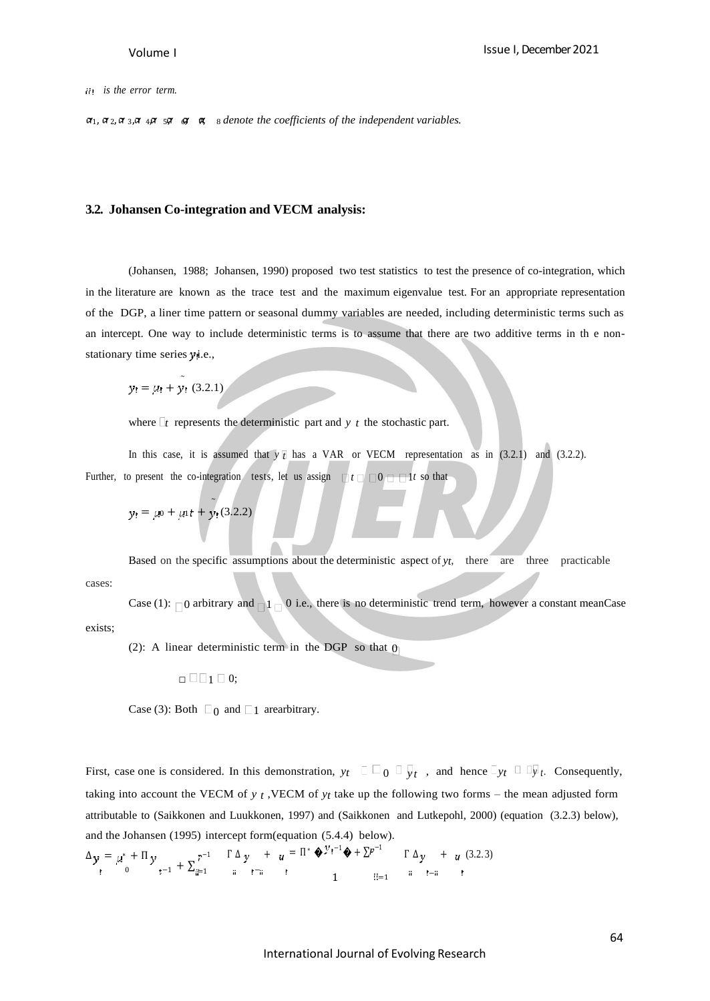*is the error term.*

 $\alpha_1$ ,  $\alpha_2$ ,  $\alpha_3$ ,  $\alpha_4$ ,  $\beta_5$   $\beta_6$ ,  $\beta_7$ ,  $\beta_8$  *denote the coefficients of the independent variables.* 

#### **3.2. Johansen Co-integration and VECM analysis:**

(Johansen, 1988; Johansen, 1990) proposed two test statistics to test the presence of co-integration, which in the literature are known as the trace test and the maximum eigenvalue test. For an appropriate representation of the DGP, a liner time pattern or seasonal dummy variables are needed, including deterministic terms such as an intercept. One way to include deterministic terms is to assume that there are two additive terms in th e nonstationary time series yi.e.,

 $y_1 = \mu_1 + y_1 (3.2.1)$ 

 $\sim$ 

where  $\Gamma$  represents the deterministic part and *y t* the stochastic part.

In this case, it is assumed that  $y \bar{t}$  has a VAR or VECM representation as in (3.2.1) and (3.2.2). Further, to present the co-integration tests, let us assign  $\Box t \Box 0 \Box \Box t$  so that

$$
y_! = \mu_0 + \mu_1 t + y_1 (3.2.2)
$$

cases: Based on the specific assumptions about the deterministic aspect of *yt*, there are three practicable

exists; Case (1):  $\Box$ 0 arbitrary and  $\Box$ 1  $\Box$ 0 i.e., there is no deterministic trend term, however a constant meanCase

(2): A linear deterministic term in the DGP so that  $\theta$ 

 $\Box$ mathbb{=} \Box 1 0;

Case (3): Both  $\Box_0$  and  $\Box_1$  arearbitrary.

First, case one is considered. In this demonstration, *yt* 0 *y t* , and hence *yt <sup>y</sup> <sup>t</sup>*. Consequently, taking into account the VECM of *y t* ,VECM of *yt* take up the following two forms – the mean adjusted form attributable to (Saikkonen and Luukkonen, 1997) and (Saikkonen and Lutkepohl, 2000) (equation (3.2.3) below), and the Johansen (1995) intercept form(equation (5.4.4) below).

$$
\Delta y = \mu^* + \Pi y \atop t_0 + 1 + \sum_{i=1}^{r-1} \frac{\Gamma \Delta y}{i} + u = \Pi^* \Phi^{\mathcal{Y}t-1} \Phi + \Sigma^{p-1} \Gamma \Delta y + u \quad (3.2.3)
$$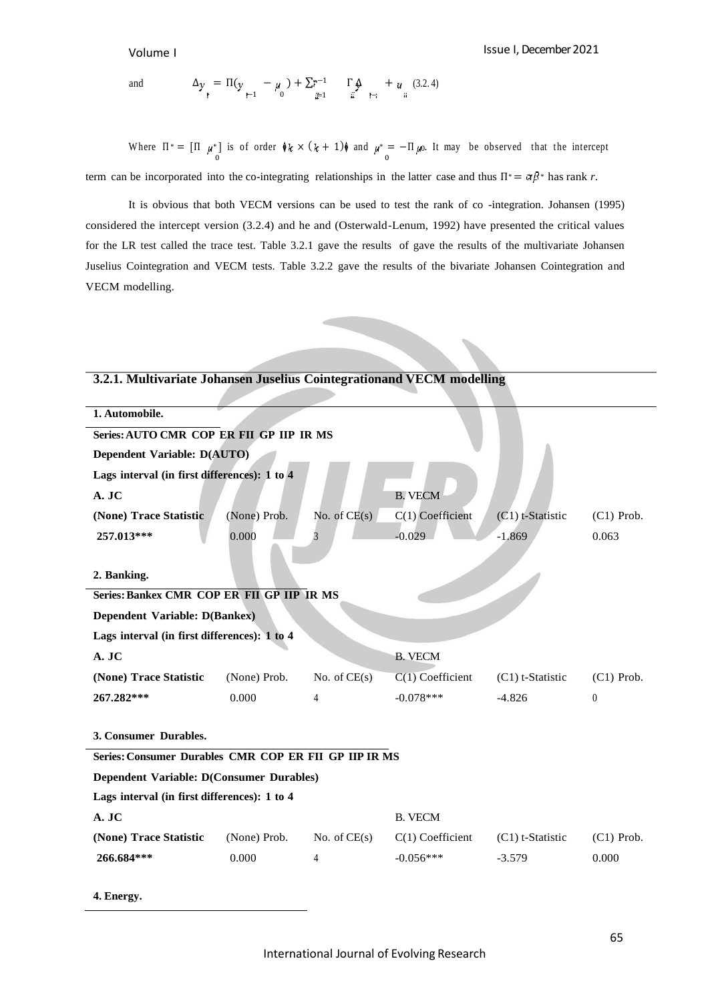**4. Energy.**

and  $\Delta y = \Pi(y - \mu) + \sum_{n=1}^{\infty} \Gamma(\mu) + \mu$  (3.2.4) −1 0 =1 −

Where  $\Pi^* = [\Pi \mu^*]$  is of order  $\oint k \times (k+1)\oint$  and  $\mu^* = -\Pi \mu$ . It may be observed that the intercept term can be incorporated into the co-integrating relationships in the latter case and thus  $\Pi^* = \alpha \beta^*$  has rank *r*.

It is obvious that both VECM versions can be used to test the rank of co -integration. Johansen (1995) considered the intercept version (3.2.4) and he and (Osterwald-Lenum, 1992) have presented the critical values for the LR test called the trace test. Table 3.2.1 gave the results of gave the results of the multivariate Johansen Juselius Cointegration and VECM tests. Table 3.2.2 gave the results of the bivariate Johansen Cointegration and VECM modelling.

| 3.2.1. Multivariate Johansen Juselius Cointegrationand VECM modelling |              |                |                    |                    |              |  |
|-----------------------------------------------------------------------|--------------|----------------|--------------------|--------------------|--------------|--|
| 1. Automobile.                                                        |              |                |                    |                    |              |  |
| Series: AUTO CMR COP ER FII GP IIP IR MS                              |              |                |                    |                    |              |  |
| Dependent Variable: D(AUTO)                                           |              |                |                    |                    |              |  |
| Lags interval (in first differences): 1 to 4                          |              |                |                    |                    |              |  |
| A. JC                                                                 |              |                | <b>B. VECM</b>     |                    |              |  |
| (None) Trace Statistic                                                | (None) Prob. | No. of $CE(s)$ | $C(1)$ Coefficient | $(C1)$ t-Statistic | $(C1)$ Prob. |  |
| 257.013***                                                            | 0.000        | 3              | $-0.029$           | $-1.869$           | 0.063        |  |
|                                                                       |              |                |                    |                    |              |  |
| 2. Banking.                                                           |              |                |                    |                    |              |  |
| Series: Bankex CMR COP ER FII GP IIP IR MS                            |              |                |                    |                    |              |  |
| Dependent Variable: D(Bankex)                                         |              |                |                    |                    |              |  |
| Lags interval (in first differences): 1 to 4                          |              |                |                    |                    |              |  |
| A. JC                                                                 |              |                | <b>B. VECM</b>     |                    |              |  |
| (None) Trace Statistic                                                | (None) Prob. | No. of $CE(s)$ | $C(1)$ Coefficient | $(C1)$ t-Statistic | $(C1)$ Prob. |  |
| 267.282***                                                            | 0.000        | 4              | $-0.078***$        | $-4.826$           | $\theta$     |  |
|                                                                       |              |                |                    |                    |              |  |
| 3. Consumer Durables.                                                 |              |                |                    |                    |              |  |
| Series: Consumer Durables CMR COP ER FII GP IIP IR MS                 |              |                |                    |                    |              |  |
| Dependent Variable: D(Consumer Durables)                              |              |                |                    |                    |              |  |
| Lags interval (in first differences): 1 to 4                          |              |                |                    |                    |              |  |
| A. JC                                                                 |              |                | <b>B. VECM</b>     |                    |              |  |
| (None) Trace Statistic                                                | (None) Prob. | No. of $CE(s)$ | $C(1)$ Coefficient | $(C1)$ t-Statistic | $(C1)$ Prob. |  |
| 266.684***                                                            | 0.000        | 4              | $-0.056***$        | $-3.579$           | 0.000        |  |
|                                                                       |              |                |                    |                    |              |  |

#### **3.2.1. Multivariate Johansen Juselius Cointegrationand VECM modelling**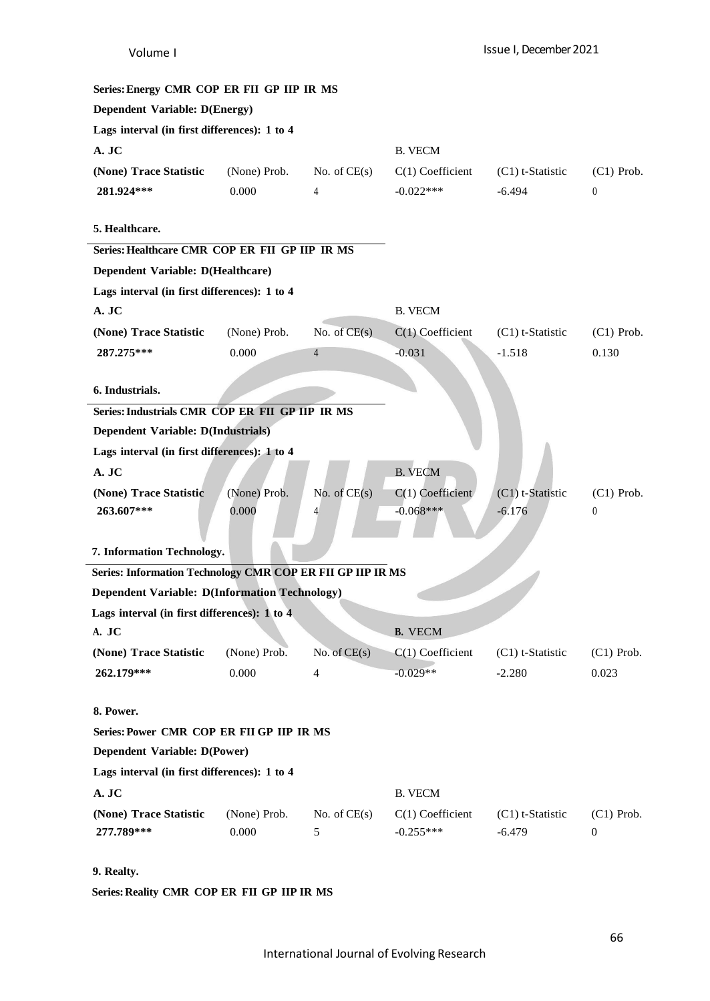| Series: Energy CMR COP ER FII GP IIP IR MS                 |              |                |                    |                    |                  |
|------------------------------------------------------------|--------------|----------------|--------------------|--------------------|------------------|
| <b>Dependent Variable: D(Energy)</b>                       |              |                |                    |                    |                  |
| Lags interval (in first differences): 1 to 4               |              |                |                    |                    |                  |
| A. JC                                                      |              |                | <b>B. VECM</b>     |                    |                  |
| (None) Trace Statistic                                     | (None) Prob. | No. of $CE(s)$ | $C(1)$ Coefficient | $(C1)$ t-Statistic | $(C1)$ Prob.     |
| 281.924***                                                 | 0.000        | 4              | $-0.022***$        | $-6.494$           | $\boldsymbol{0}$ |
|                                                            |              |                |                    |                    |                  |
| 5. Healthcare.                                             |              |                |                    |                    |                  |
| Series: Healthcare CMR COP ER FII GP IIP IR MS             |              |                |                    |                    |                  |
| Dependent Variable: D(Healthcare)                          |              |                |                    |                    |                  |
| Lags interval (in first differences): 1 to 4               |              |                |                    |                    |                  |
| A. JC                                                      |              |                | <b>B. VECM</b>     |                    |                  |
| (None) Trace Statistic                                     | (None) Prob. | No. of $CE(s)$ | $C(1)$ Coefficient | $(C1)$ t-Statistic | $(C1)$ Prob.     |
| 287.275***                                                 | 0.000        | $\overline{4}$ | $-0.031$           | $-1.518$           | 0.130            |
|                                                            |              |                |                    |                    |                  |
| 6. Industrials.                                            |              |                |                    |                    |                  |
| Series: Industrials CMR COP ER FII GP IIP IR MS            |              |                |                    |                    |                  |
| Dependent Variable: D(Industrials)                         |              |                |                    |                    |                  |
| Lags interval (in first differences): 1 to 4               |              |                |                    |                    |                  |
| A. JC                                                      |              |                | <b>B. VECM</b>     |                    |                  |
| (None) Trace Statistic                                     | (None) Prob. | No. of $CE(s)$ | $C(1)$ Coefficient | (C1) t-Statistic   | $(C1)$ Prob.     |
| 263.607***                                                 | 0.000        | 4              | $-0.068***$        | $-6.176$           | $\boldsymbol{0}$ |
| 7. Information Technology.                                 |              |                |                    |                    |                  |
| Series: Information Technology CMR COP ER FII GP IIP IR MS |              |                |                    |                    |                  |
| <b>Dependent Variable: D(Information Technology)</b>       |              |                |                    |                    |                  |
| Lags interval (in first differences): 1 to 4               |              |                |                    |                    |                  |
| A. JC                                                      |              |                | <b>B.</b> VECM     |                    |                  |
| (None) Trace Statistic                                     | (None) Prob. | No. of $CE(s)$ | $C(1)$ Coefficient | (C1) t-Statistic   | $(C1)$ Prob.     |
| 262.179***                                                 | 0.000        | 4              | $-0.029**$         | $-2.280$           | 0.023            |
|                                                            |              |                |                    |                    |                  |
| 8. Power.                                                  |              |                |                    |                    |                  |
| Series: Power CMR COP ER FII GP IIP IR MS                  |              |                |                    |                    |                  |
| Dependent Variable: D(Power)                               |              |                |                    |                    |                  |
| Lags interval (in first differences): 1 to 4               |              |                |                    |                    |                  |
| A. JC                                                      |              |                | <b>B. VECM</b>     |                    |                  |
| (None) Trace Statistic                                     | (None) Prob. | No. of $CE(s)$ | $C(1)$ Coefficient | $(C1)$ t-Statistic | $(C1)$ Prob.     |
| 277.789***                                                 | 0.000        | 5              | $-0.255***$        | $-6.479$           | $\boldsymbol{0}$ |
|                                                            |              |                |                    |                    |                  |

# **9. Realty.**

**Series:Reality CMR COP ER FII GP IIP IR MS**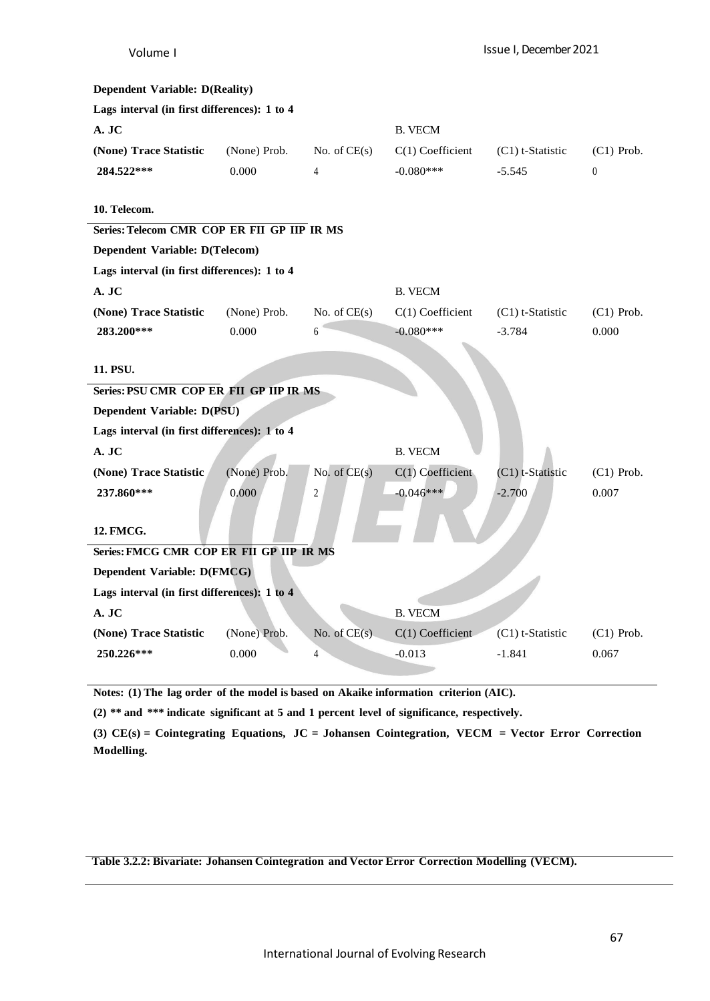| <b>Dependent Variable: D(Reality)</b>        |              |                |                    |                    |              |
|----------------------------------------------|--------------|----------------|--------------------|--------------------|--------------|
| Lags interval (in first differences): 1 to 4 |              |                |                    |                    |              |
| A. JC                                        |              |                | <b>B. VECM</b>     |                    |              |
| (None) Trace Statistic                       | (None) Prob. | No. of $CE(s)$ | $C(1)$ Coefficient | $(C1)$ t-Statistic | $(C1)$ Prob. |
| 284.522***                                   | 0.000        | 4              | $-0.080***$        | $-5.545$           | $\theta$     |
|                                              |              |                |                    |                    |              |
| 10. Telecom.                                 |              |                |                    |                    |              |
| Series: Telecom CMR COP ER FII GP IIP IR MS  |              |                |                    |                    |              |
| Dependent Variable: D(Telecom)               |              |                |                    |                    |              |
| Lags interval (in first differences): 1 to 4 |              |                |                    |                    |              |
| A. JC                                        |              |                | <b>B. VECM</b>     |                    |              |
| (None) Trace Statistic                       | (None) Prob. | No. of $CE(s)$ | $C(1)$ Coefficient | $(C1)$ t-Statistic | $(C1)$ Prob. |
| 283.200***                                   | 0.000        | 6              | $-0.080***$        | $-3.784$           | 0.000        |
|                                              |              |                |                    |                    |              |
| 11. PSU.                                     |              |                |                    |                    |              |
| Series: PSU CMR COP ER FII GP IIP IR MS      |              |                |                    |                    |              |
| Dependent Variable: D(PSU)                   |              |                |                    |                    |              |
| Lags interval (in first differences): 1 to 4 |              |                |                    |                    |              |
| A. JC                                        |              |                | <b>B. VECM</b>     |                    |              |
| (None) Trace Statistic                       | (None) Prob. | No. of $CE(s)$ | $C(1)$ Coefficient | (C1) t-Statistic   | $(C1)$ Prob. |
| 237.860***                                   | 0.000        | 2              | $-0.046***$        | $-2.700$           | 0.007        |
|                                              |              |                |                    |                    |              |
| 12. FMCG.                                    |              |                |                    |                    |              |
| Series: FMCG CMR COP ER FII GP IIP IR MS     |              |                |                    |                    |              |
| Dependent Variable: D(FMCG)                  |              |                |                    |                    |              |
| Lags interval (in first differences): 1 to 4 |              |                |                    |                    |              |
| A. JC                                        |              |                | <b>B. VECM</b>     |                    |              |
| (None) Trace Statistic                       | (None) Prob. | No. of $CE(s)$ | $C(1)$ Coefficient | $(C1)$ t-Statistic | $(C1)$ Prob. |
| 250.226***                                   | 0.000        | 4              | $-0.013$           | $-1.841$           | 0.067        |
|                                              |              |                |                    |                    |              |

**Notes: (1) The lag order of the model is based on Akaike information criterion (AIC).**

**(2) \*\* and \*\*\* indicate significant at 5 and 1 percent level of significance, respectively.**

**(3) CE(s) = Cointegrating Equations, JC = Johansen Cointegration, VECM = Vector Error Correction Modelling.**

**Table 3.2.2: Bivariate: Johansen Cointegration and Vector Error Correction Modelling (VECM).**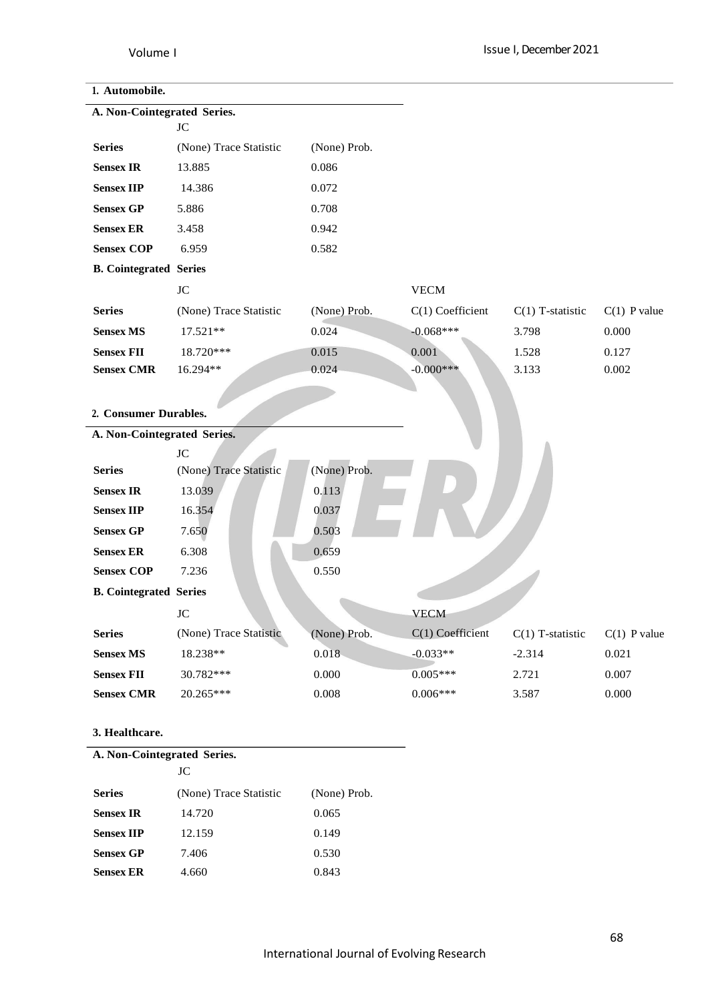# **1. Automobile.**

| A. Non-Cointegrated Series.   |                        |              |                    |                    |                |
|-------------------------------|------------------------|--------------|--------------------|--------------------|----------------|
|                               | JC                     |              |                    |                    |                |
| <b>Series</b>                 | (None) Trace Statistic | (None) Prob. |                    |                    |                |
| <b>Sensex IR</b>              | 13.885                 | 0.086        |                    |                    |                |
| <b>Sensex IIP</b>             | 14.386                 | 0.072        |                    |                    |                |
| <b>Sensex GP</b>              | 5.886                  | 0.708        |                    |                    |                |
| <b>Sensex ER</b>              | 3.458                  | 0.942        |                    |                    |                |
| <b>Sensex COP</b>             | 6.959                  | 0.582        |                    |                    |                |
| <b>B. Cointegrated Series</b> |                        |              |                    |                    |                |
|                               | <b>JC</b>              |              | <b>VECM</b>        |                    |                |
| <b>Series</b>                 | (None) Trace Statistic | (None) Prob. | $C(1)$ Coefficient | $C(1)$ T-statistic | $C(1)$ P value |
| <b>Sensex MS</b>              | 17.521**               | 0.024        | $-0.068***$        | 3.798              | 0.000          |
| <b>Sensex FII</b>             | 18.720***              | 0.015        | 0.001              | 1.528              | 0.127          |
| <b>Sensex CMR</b>             | 16.294**               | 0.024        | $-0.000$ ***       | 3.133              | 0.002          |
|                               |                        |              |                    |                    |                |
|                               |                        |              |                    |                    |                |
| 2. Consumer Durables.         |                        |              |                    |                    |                |
| A. Non-Cointegrated Series.   |                        |              |                    |                    |                |
|                               | JC                     |              |                    |                    |                |
| <b>Series</b>                 | (None) Trace Statistic | (None) Prob. |                    |                    |                |
| <b>Sensex IR</b>              | 13.039                 | 0.113        |                    |                    |                |
| <b>Sensex IIP</b>             | 16.354                 | 0.037        |                    |                    |                |
| <b>Sensex GP</b>              | 7.650                  | 0.503        |                    |                    |                |
| <b>Sensex ER</b>              | 6.308                  | 0.659        |                    |                    |                |
| <b>Sensex COP</b>             | 7.236                  | 0.550        |                    |                    |                |
| <b>B. Cointegrated Series</b> |                        |              |                    |                    |                |
|                               | <b>JC</b>              |              | <b>VECM</b>        |                    |                |
| <b>Series</b>                 | (None) Trace Statistic | (None) Prob. | C(1) Coefficient   | $C(1)$ T-statistic | $C(1)$ P value |
| <b>Sensex MS</b>              | 18.238**               | $0.018 -$    | $-0.033**$         | $-2.314$           | 0.021          |
| <b>Sensex FII</b>             | 30.782***              | 0.000        | $0.005***$         | 2.721              | 0.007          |
| <b>Sensex CMR</b>             | 20.265***              | 0.008        | $0.006***$         | 3.587              | 0.000          |

# **3. Healthcare.**

| A. Non-Cointegrated Series. |                        |              |  |  |  |  |
|-----------------------------|------------------------|--------------|--|--|--|--|
|                             | JС                     |              |  |  |  |  |
| <b>Series</b>               | (None) Trace Statistic | (None) Prob. |  |  |  |  |
| <b>Sensex IR</b>            | 14.720                 | 0.065        |  |  |  |  |
| <b>Sensex IIP</b>           | 12.159                 | 0.149        |  |  |  |  |
| <b>Sensex GP</b>            | 7.406                  | 0.530        |  |  |  |  |
| <b>Sensex ER</b>            | 4.660                  | 0.843        |  |  |  |  |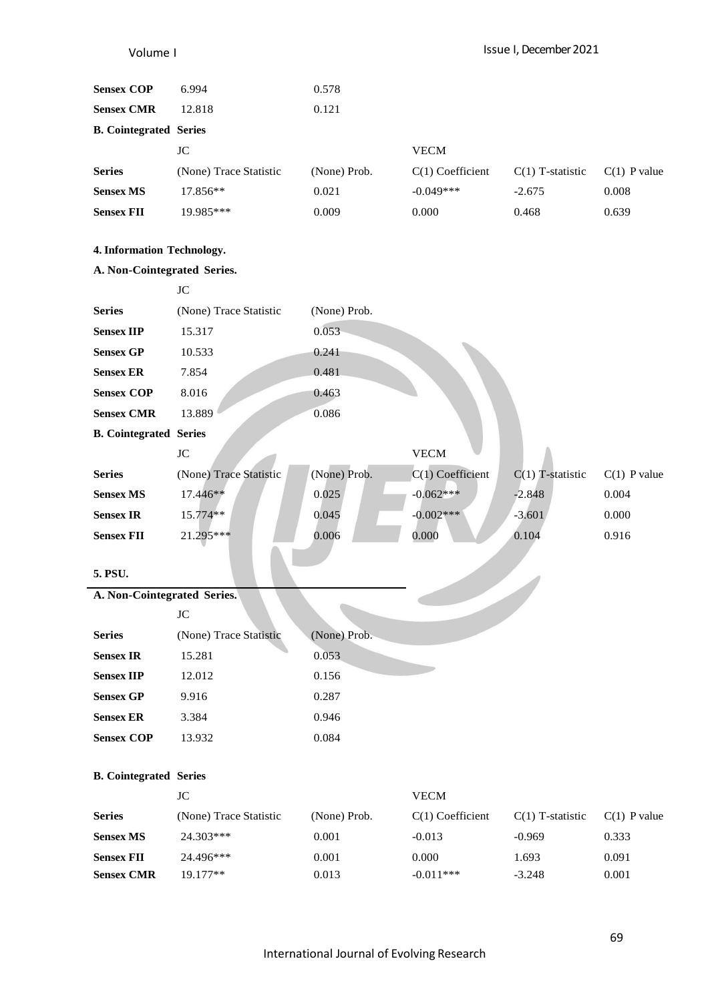Issue I, December 2021

| <b>Sensex COP</b>                     | 6.994                  | 0.578                 |                                   |                    |                |
|---------------------------------------|------------------------|-----------------------|-----------------------------------|--------------------|----------------|
| <b>Sensex CMR</b>                     | 12.818                 | 0.121                 |                                   |                    |                |
|                                       |                        |                       |                                   |                    |                |
| <b>B. Cointegrated Series</b>         | JC                     |                       | <b>VECM</b>                       |                    |                |
| <b>Series</b>                         | (None) Trace Statistic |                       |                                   |                    | $C(1)$ P value |
|                                       | 17.856**               | (None) Prob.<br>0.021 | $C(1)$ Coefficient<br>$-0.049***$ | $C(1)$ T-statistic |                |
| <b>Sensex MS</b><br><b>Sensex FII</b> | 19.985***              | 0.009                 | 0.000                             | $-2.675$<br>0.468  | 0.008<br>0.639 |
|                                       |                        |                       |                                   |                    |                |
| 4. Information Technology.            |                        |                       |                                   |                    |                |
| A. Non-Cointegrated Series.           |                        |                       |                                   |                    |                |
|                                       | JC                     |                       |                                   |                    |                |
| <b>Series</b>                         | (None) Trace Statistic | (None) Prob.          |                                   |                    |                |
| <b>Sensex IIP</b>                     | 15.317                 | 0.053                 |                                   |                    |                |
| <b>Sensex GP</b>                      | 10.533                 | 0.241                 |                                   |                    |                |
| <b>Sensex ER</b>                      | 7.854                  | 0.481                 |                                   |                    |                |
| <b>Sensex COP</b>                     | 8.016                  | 0.463                 |                                   |                    |                |
| <b>Sensex CMR</b>                     | 13.889                 | 0.086                 |                                   |                    |                |
| <b>B. Cointegrated Series</b>         |                        |                       |                                   |                    |                |
|                                       | JC                     |                       | <b>VECM</b>                       |                    |                |
| <b>Series</b>                         | (None) Trace Statistic | (None) Prob.          | $C(1)$ Coefficient                | $C(1)$ T-statistic | $C(1)$ P value |
| <b>Sensex MS</b>                      | 17.446**               | 0.025                 | $-0.062***$                       | $-2.848$           | 0.004          |
| <b>Sensex IR</b>                      | 15.774**               | 0.045                 | $-0.002***$                       | $-3.601$           | 0.000          |
| <b>Sensex FII</b>                     | 21.295***              | 0.006                 | 0.000                             | 0.104              | 0.916          |
|                                       |                        |                       |                                   |                    |                |
| 5. PSU.                               |                        |                       |                                   |                    |                |
| A. Non-Cointegrated Series.           |                        |                       |                                   |                    |                |
|                                       | $\rm JC$               |                       |                                   |                    |                |
| <b>Series</b>                         | (None) Trace Statistic | (None) Prob.          |                                   |                    |                |
| <b>Sensex IR</b><br><b>Sensex IIP</b> | 15.281                 | 0.053<br>0.156        |                                   |                    |                |
| <b>Sensex GP</b>                      | 12.012                 |                       |                                   |                    |                |
| <b>Sensex ER</b>                      | 9.916                  | 0.287<br>0.946        |                                   |                    |                |
| <b>Sensex COP</b>                     | 3.384<br>13.932        | 0.084                 |                                   |                    |                |
|                                       |                        |                       |                                   |                    |                |
| <b>B. Cointegrated Series</b>         |                        |                       |                                   |                    |                |
|                                       | $\rm JC$               |                       | <b>VECM</b>                       |                    |                |
| <b>Series</b>                         | (None) Trace Statistic | (None) Prob.          | $C(1)$ Coefficient                | $C(1)$ T-statistic | $C(1)$ P value |
| <b>Sensex MS</b>                      | 24.303***              | 0.001                 | $-0.013$                          | $-0.969$           | 0.333          |
| <b>Sensex FII</b>                     | 24.496***              | 0.001                 | 0.000                             | 1.693              | 0.091          |
| <b>Sensex CMR</b>                     | 19.177**               | 0.013                 | $-0.011***$                       | $-3.248$           | 0.001          |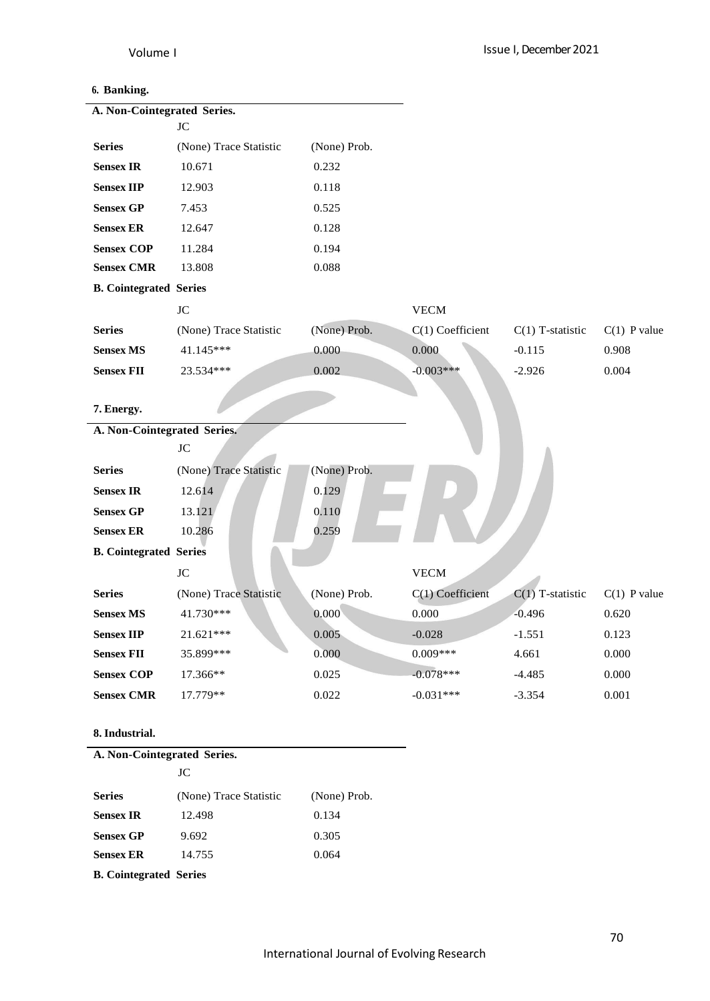# **6. Banking.**

| A. Non-Cointegrated Series.   |                        |              |                    |                    |                |
|-------------------------------|------------------------|--------------|--------------------|--------------------|----------------|
|                               | $\rm JC$               |              |                    |                    |                |
| <b>Series</b>                 | (None) Trace Statistic | (None) Prob. |                    |                    |                |
| <b>Sensex IR</b>              | 10.671                 | 0.232        |                    |                    |                |
| <b>Sensex IIP</b>             | 12.903                 | 0.118        |                    |                    |                |
| <b>Sensex GP</b>              | 7.453                  | 0.525        |                    |                    |                |
| <b>Sensex ER</b>              | 12.647                 | 0.128        |                    |                    |                |
| <b>Sensex COP</b>             | 11.284                 | 0.194        |                    |                    |                |
| <b>Sensex CMR</b>             | 13.808                 | 0.088        |                    |                    |                |
| <b>B. Cointegrated Series</b> |                        |              |                    |                    |                |
|                               | $\rm JC$               |              | <b>VECM</b>        |                    |                |
| <b>Series</b>                 | (None) Trace Statistic | (None) Prob. | $C(1)$ Coefficient | $C(1)$ T-statistic | $C(1)$ P value |
| <b>Sensex MS</b>              | 41.145***              | 0.000        | 0.000              | $-0.115$           | 0.908          |
| <b>Sensex FII</b>             | 23.534***              | 0.002        | $-0.003***$        | $-2.926$           | 0.004          |
|                               |                        |              |                    |                    |                |
| 7. Energy.                    |                        |              |                    |                    |                |
| A. Non-Cointegrated Series.   |                        |              |                    |                    |                |
|                               | <b>JC</b>              |              |                    |                    |                |
| <b>Series</b>                 | (None) Trace Statistic | (None) Prob. |                    |                    |                |
| <b>Sensex IR</b>              | 12.614                 | 0.129        |                    |                    |                |
| <b>Sensex GP</b>              | 13.121                 | 0.110        |                    |                    |                |
| <b>Sensex ER</b>              | 10.286                 | 0.259        |                    |                    |                |
| <b>B.</b> Cointegrated Series |                        |              |                    |                    |                |
|                               | $\rm JC$               |              | <b>VECM</b>        |                    |                |
| <b>Series</b>                 | (None) Trace Statistic | (None) Prob. | C(1) Coefficient   | $C(1)$ T-statistic | $C(1)$ P value |
| <b>Sensex MS</b>              | 41.730***              | 0.000        | 0.000              | $-0.496$           | 0.620          |
| <b>Sensex IIP</b>             | 21.621***              | 0.005        | $-0.028$           | $-1.551$           | 0.123          |
| <b>Sensex FII</b>             | 35.899***              | 0.000        | $0.009***$         | 4.661              | 0.000          |
| <b>Sensex COP</b>             | 17.366**               | 0.025        | $-0.078***$        | $-4.485$           | 0.000          |
| <b>Sensex CMR</b>             | 17.779**               | 0.022        | $-0.031***$        | $-3.354$           | 0.001          |
|                               |                        |              |                    |                    |                |
| 8. Industrial.                |                        |              |                    |                    |                |
| A. Non-Cointegrated Series.   |                        |              |                    |                    |                |
|                               | $\rm JC$               |              |                    |                    |                |
| <b>Series</b>                 | (None) Trace Statistic | (None) Prob. |                    |                    |                |
| <b>Sensex IR</b>              | 12.498                 | 0.134        |                    |                    |                |
| <b>Sensex GP</b>              | 9.692                  | 0.305        |                    |                    |                |
| <b>Sensex ER</b>              | 14.755                 | 0.064        |                    |                    |                |

**B. Cointegrated Series**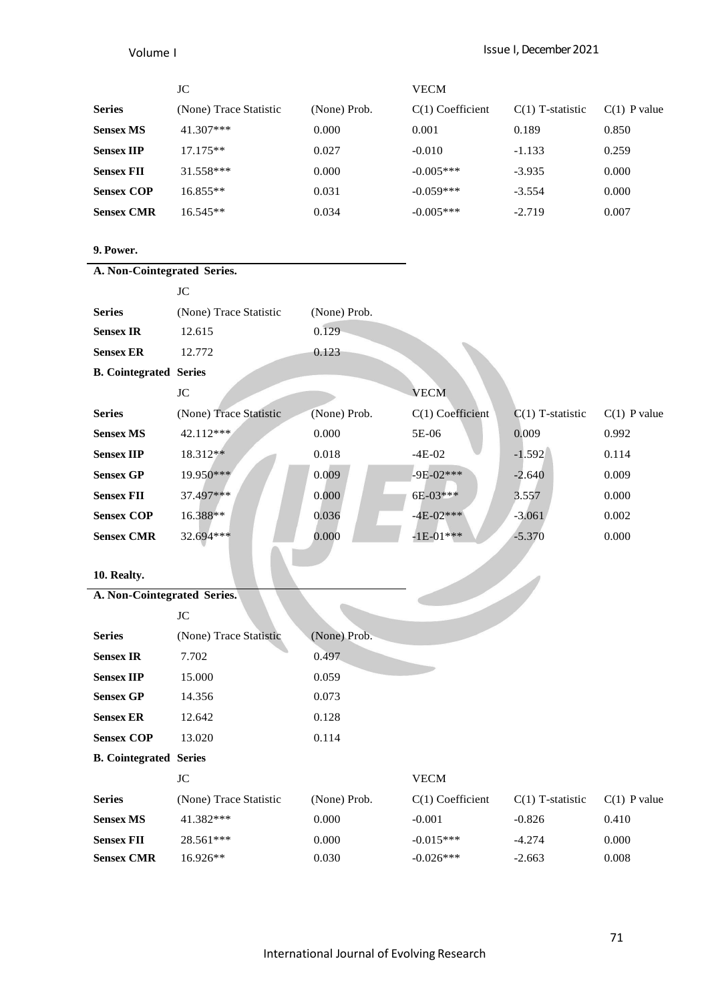|                   | JC                     |              | <b>VECM</b>        |                    |                |
|-------------------|------------------------|--------------|--------------------|--------------------|----------------|
| <b>Series</b>     | (None) Trace Statistic | (None) Prob. | $C(1)$ Coefficient | $C(1)$ T-statistic | $C(1)$ P value |
| <b>Sensex MS</b>  | $41.307***$            | 0.000        | 0.001              | 0.189              | 0.850          |
| <b>Sensex IIP</b> | $17.175**$             | 0.027        | $-0.010$           | $-1.133$           | 0.259          |
| <b>Sensex FII</b> | $31.558***$            | 0.000        | $-0.005***$        | $-3.935$           | 0.000          |
| <b>Sensex COP</b> | 16.855**               | 0.031        | $-0.059***$        | $-3.554$           | 0.000          |
| <b>Sensex CMR</b> | 16.545**               | 0.034        | $-0.005***$        | $-2.719$           | 0.007          |

# **9. Power.**

| A. Non-Cointegrated Series.   |                        |              |                    |                    |                |
|-------------------------------|------------------------|--------------|--------------------|--------------------|----------------|
|                               | JC                     |              |                    |                    |                |
| <b>Series</b>                 | (None) Trace Statistic | (None) Prob. |                    |                    |                |
| <b>Sensex IR</b>              | 12.615                 | 0.129        |                    |                    |                |
| <b>Sensex ER</b>              | 12.772                 | 0.123        |                    |                    |                |
| <b>B.</b> Cointegrated Series |                        |              |                    |                    |                |
|                               | <b>JC</b>              |              | <b>VECM</b>        |                    |                |
| <b>Series</b>                 | (None) Trace Statistic | (None) Prob. | C(1) Coefficient   | $C(1)$ T-statistic | $C(1)$ P value |
| <b>Sensex MS</b>              | 42.112***              | 0.000        | 5E-06              | 0.009              | 0.992          |
| <b>Sensex IIP</b>             | 18.312**               | 0.018        | $-4E-02$           | $-1.592$           | 0.114          |
| <b>Sensex GP</b>              | 19.950***              | 0.009        | $-9E-02***$        | $-2.640$           | 0.009          |
| <b>Sensex FII</b>             | 37.497***              | 0.000        | 6E-03***           | 3.557              | 0.000          |
| <b>Sensex COP</b>             | 16.388**               | 0.036        | $-4E-02***$        | $-3.061$           | 0.002          |
| <b>Sensex CMR</b>             | 32.694***              | 0.000        | $-1E-01***$        | $-5.370$           | 0.000          |
|                               |                        |              |                    |                    |                |
| 10. Realty.                   |                        |              |                    |                    |                |
| A. Non-Cointegrated Series.   |                        |              |                    |                    |                |
|                               | JC                     |              |                    |                    |                |
| <b>Series</b>                 | (None) Trace Statistic | (None) Prob. |                    |                    |                |
| <b>Sensex IR</b>              | 7.702                  | 0.497        |                    |                    |                |
| <b>Sensex IIP</b>             | 15.000                 | 0.059        |                    |                    |                |
| <b>Sensex GP</b>              | 14.356                 | 0.073        |                    |                    |                |
| <b>Sensex ER</b>              | 12.642                 | 0.128        |                    |                    |                |
| <b>Sensex COP</b>             | 13.020                 | 0.114        |                    |                    |                |
| <b>B.</b> Cointegrated Series |                        |              |                    |                    |                |
|                               | <b>JC</b>              |              | <b>VECM</b>        |                    |                |
| <b>Series</b>                 | (None) Trace Statistic | (None) Prob. | $C(1)$ Coefficient | $C(1)$ T-statistic | $C(1)$ P value |
| <b>Sensex MS</b>              | 41.382***              | 0.000        | $-0.001$           | $-0.826$           | 0.410          |
| <b>Sensex FII</b>             |                        |              |                    |                    |                |
|                               | 28.561***              | 0.000        | $-0.015***$        | $-4.274$           | 0.000          |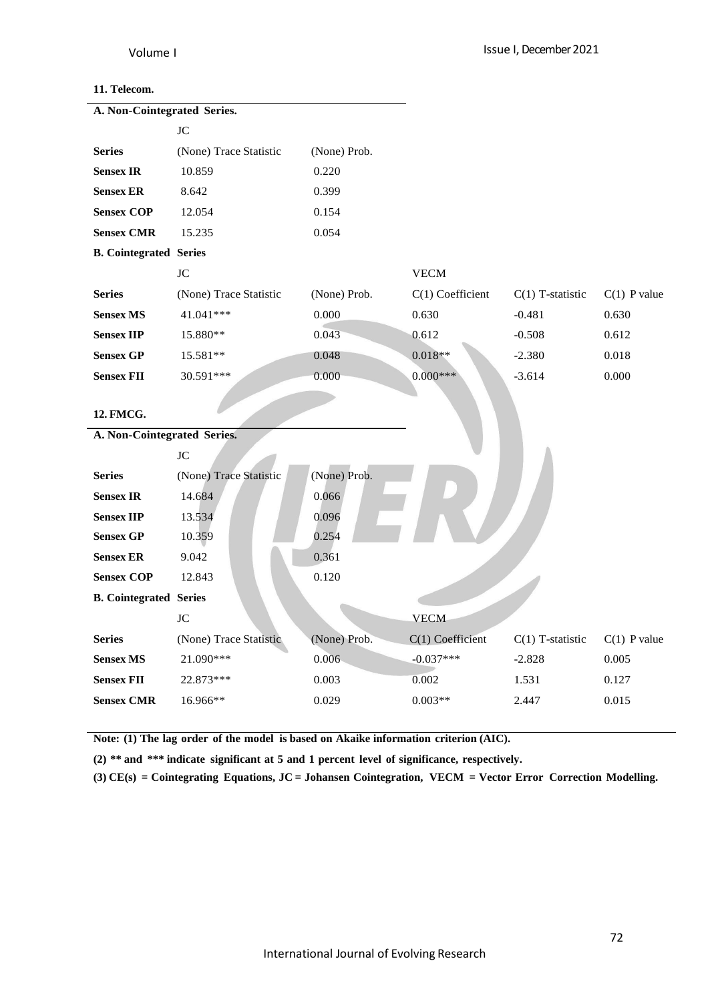### **11. Telecom.**

| A. Non-Cointegrated Series.   |                        |              |                    |                    |                |
|-------------------------------|------------------------|--------------|--------------------|--------------------|----------------|
|                               | <b>JC</b>              |              |                    |                    |                |
| <b>Series</b>                 | (None) Trace Statistic | (None) Prob. |                    |                    |                |
| <b>Sensex IR</b>              | 10.859                 | 0.220        |                    |                    |                |
| <b>Sensex ER</b>              | 8.642                  | 0.399        |                    |                    |                |
| <b>Sensex COP</b>             | 12.054                 | 0.154        |                    |                    |                |
| <b>Sensex CMR</b>             | 15.235                 | 0.054        |                    |                    |                |
| <b>B.</b> Cointegrated Series |                        |              |                    |                    |                |
|                               | $\rm JC$               |              | <b>VECM</b>        |                    |                |
| <b>Series</b>                 | (None) Trace Statistic | (None) Prob. | $C(1)$ Coefficient | $C(1)$ T-statistic | $C(1)$ P value |
| <b>Sensex MS</b>              | 41.041***              | 0.000        | 0.630              | $-0.481$           | 0.630          |
| <b>Sensex IIP</b>             | 15.880**               | 0.043        | 0.612              | $-0.508$           | 0.612          |
| <b>Sensex GP</b>              | 15.581**               | 0.048        | $0.018**$          | $-2.380$           | 0.018          |
| <b>Sensex FII</b>             | 30.591***              | 0.000        | $0.000***$         | $-3.614$           | 0.000          |
|                               |                        |              |                    |                    |                |
| 12. FMCG.                     |                        |              |                    |                    |                |
| A. Non-Cointegrated Series.   |                        |              |                    |                    |                |
|                               | JC                     |              |                    |                    |                |
| <b>Series</b>                 | (None) Trace Statistic | (None) Prob. |                    |                    |                |
| <b>Sensex IR</b>              | 14.684                 | 0.066        |                    |                    |                |
| <b>Sensex IIP</b>             | 13.534                 | 0.096        |                    |                    |                |
| <b>Sensex GP</b>              | 10.359                 | 0.254        |                    |                    |                |
| <b>Sensex ER</b>              | 9.042                  | 0.361        |                    |                    |                |
| <b>Sensex COP</b>             | 12.843                 | 0.120        |                    |                    |                |
| <b>B.</b> Cointegrated Series |                        |              |                    |                    |                |
|                               | $\rm JC$               |              | <b>VECM</b>        |                    |                |
| <b>Series</b>                 | (None) Trace Statistic | (None) Prob. | C(1) Coefficient   | $C(1)$ T-statistic | $C(1)$ P value |
| <b>Sensex MS</b>              | 21.090***              | 0.006        | $-0.037***$        | $-2.828$           | 0.005          |
| <b>Sensex FII</b>             | 22.873***              | 0.003        | 0.002              | 1.531              | 0.127          |
| <b>Sensex CMR</b>             | 16.966**               | 0.029        | $0.003**$          | 2.447              | 0.015          |
|                               |                        |              |                    |                    |                |

**Note: (1) The lag order of the model is based on Akaike information criterion (AIC).**

**(2) \*\* and \*\*\* indicate significant at 5 and 1 percent level of significance, respectively.**

**(3) CE(s) = Cointegrating Equations, JC = Johansen Cointegration, VECM = Vector Error Correction Modelling.**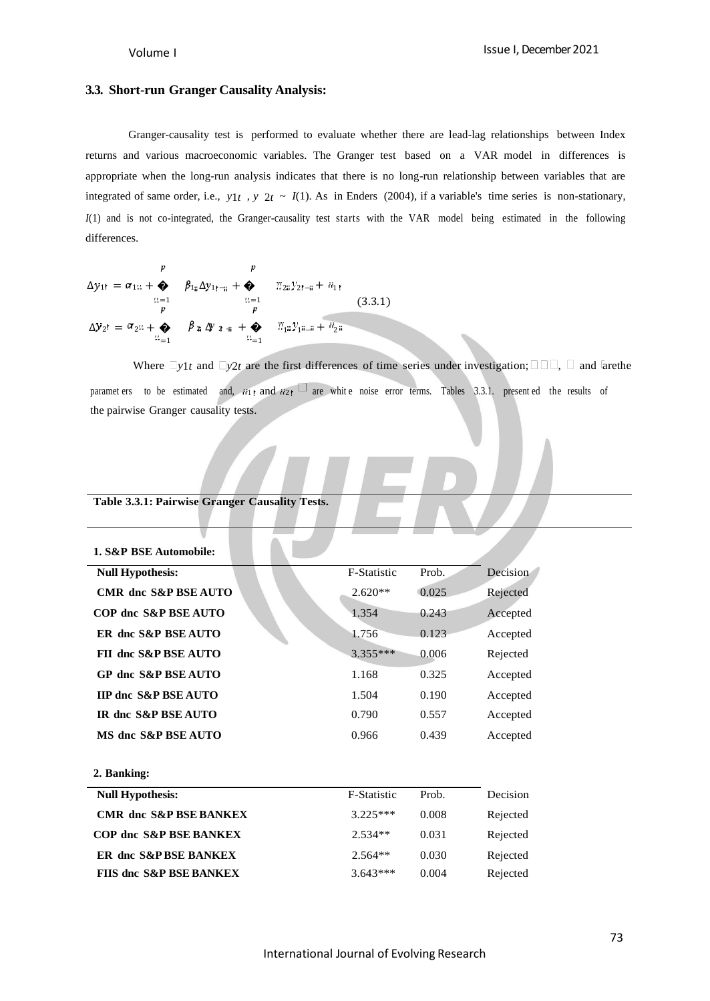#### **3.3. Short-run Granger Causality Analysis:**

Granger-causality test is performed to evaluate whether there are lead-lag relationships between Index returns and various macroeconomic variables. The Granger test based on a VAR model in differences is appropriate when the long-run analysis indicates that there is no long-run relationship between variables that are integrated of same order, i.e.,  $y1t$ ,  $y2t$  ~  $I(1)$ . As in Enders (2004), if a variable's time series is non-stationary, *I*(1) and is not co-integrated, the Granger-causality test starts with the VAR model being estimated in the following differences.

$$
\Delta y_{1!} = \alpha_{1} u + \sum_{\substack{\mu=1\\ \mu \neq j}}^p \beta_{1\mu} \Delta y_{1! - \mu} + \sum_{\substack{\mu=1\\ \mu \neq j}}^p \gamma_{2i} y_{2! - \mu} + u_{1!}
$$
\n(3.3.1)\n
$$
\Delta y_{2!} = \alpha_{2} u + \sum_{\substack{\mu=1\\ \mu \neq j}}^p \beta_{2} \Delta y_{2 \mu} + \sum_{\substack{\mu=1\\ \mu \neq j}}^p \gamma_{\mu} y_{1! - \mu} + u_{2\mu}
$$

Where  $\Box y_{1t}$  and  $\Box y_{2t}$  are the first differences of time series under investigation;  $\Box \Box \Box$ ,  $\Box$  and larethe paramet ers to be estimated and,  $\overline{ii}$  and  $\overline{ii}$  are white noise error terms. Tables 3.3.1. present ed the results of the pairwise Granger causality tests.

### **Table 3.3.1: Pairwise Granger Causality Tests.**

| 1. S&P BSE Automobile:          |                    |       |          |
|---------------------------------|--------------------|-------|----------|
| <b>Null Hypothesis:</b>         | <b>F-Statistic</b> | Prob. | Decision |
| <b>CMR</b> dnc S&P BSE AUTO     | $2.620**$          | 0.025 | Rejected |
| COP dnc S&P BSE AUTO            | 1.354              | 0.243 | Accepted |
| ER dnc S&P BSE AUTO             | 1.756              | 0.123 | Accepted |
| FII dnc S&P BSE AUTO            | $3.355***$         | 0.006 | Rejected |
| GP dnc S&P BSE AUTO             | 1.168              | 0.325 | Accepted |
| <b>IIP dnc S&amp;P BSE AUTO</b> | 1.504              | 0.190 | Accepted |
| IR dnc S&P BSE AUTO             | 0.790              | 0.557 | Accepted |
| MS dnc S&P BSE AUTO             | 0.966              | 0.439 | Accepted |
|                                 |                    |       |          |
| 2. Banking:                     |                    |       |          |
| <b>Null Hypothesis:</b>         | <b>F-Statistic</b> | Prob. | Decision |
|                                 |                    |       |          |

| <b>CMR</b> dnc S&P BSE BANKEX      | $3.225***$ | 0.008 | Rejected |
|------------------------------------|------------|-------|----------|
| <b>COP dnc S&amp;P BSE BANKEX</b>  | $2.534**$  | 0.031 | Rejected |
| ER dnc S&P BSE BANKEX              | $2.564**$  | 0.030 | Rejected |
| <b>FIIS dnc S&amp;P BSE BANKEX</b> | $3.643***$ | 0.004 | Rejected |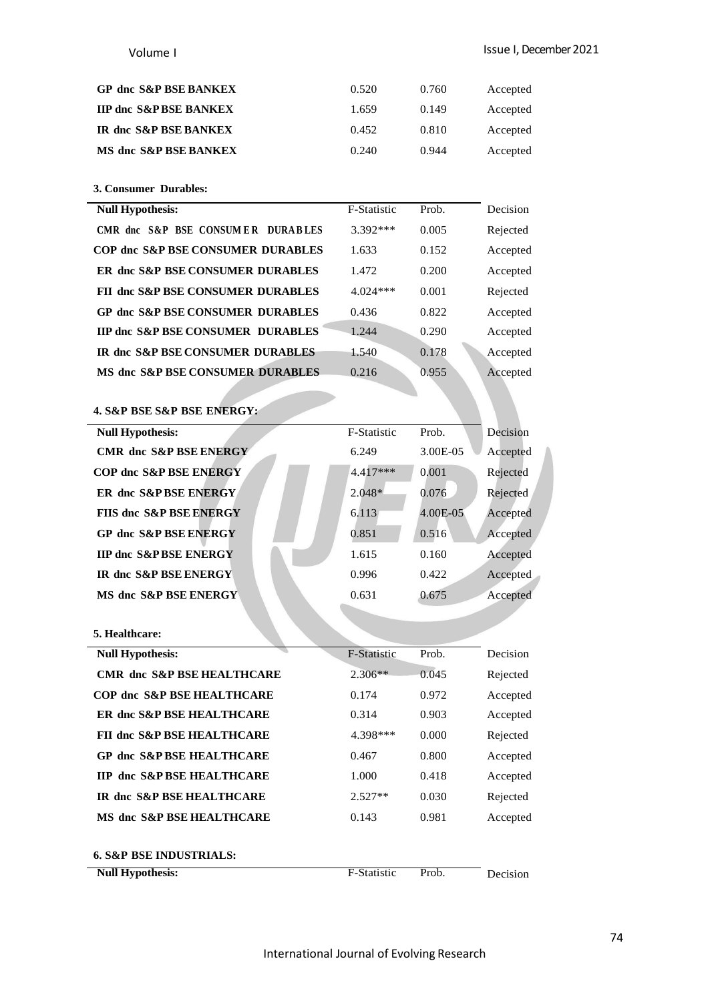| <b>GP dnc S&amp;P BSE BANKEX</b>  | 0.520 | 0.760 | Accepted |
|-----------------------------------|-------|-------|----------|
| <b>IIP dnc S&amp;P BSE BANKEX</b> | 1.659 | 0.149 | Accepted |
| IR dnc S&P BSE BANKEX             | 0.452 | 0.810 | Accepted |
| MS dnc S&P BSE BANKEX             | 0.240 | 0.944 | Accepted |

**3. Consumer Durables:**

| <b>Null Hypothesis:</b>                      | <b>F-Statistic</b> | Prob. | Decision |
|----------------------------------------------|--------------------|-------|----------|
| CMR dnc S&P BSE CONSUMER DURABLES            | 3.392 ***          | 0.005 | Rejected |
| <b>COP dnc S&amp;P BSE CONSUMER DURABLES</b> | 1.633              | 0.152 | Accepted |
| <b>ER dnc S&amp;P BSE CONSUMER DURABLES</b>  | 1.472              | 0.200 | Accepted |
| <b>FII dnc S&amp;P BSE CONSUMER DURABLES</b> | $4.024***$         | 0.001 | Rejected |
| <b>GP dnc S&amp;P BSE CONSUMER DURABLES</b>  | 0.436              | 0.822 | Accepted |
| <b>IIP dnc S&amp;P BSE CONSUMER DURABLES</b> | 1.244              | 0.290 | Accepted |
| <b>IR dnc S&amp;P BSE CONSUMER DURABLES</b>  | 1.540              | 0.178 | Accepted |
| <b>MS dnc S&amp;P BSE CONSUMER DURABLES</b>  | 0.216              | 0.955 | Accepted |
|                                              |                    |       |          |

**4. S&P BSE S&P BSE ENERGY:**

| <b>Null Hypothesis:</b>           | <b>F-Statistic</b> | Prob.    | Decision |
|-----------------------------------|--------------------|----------|----------|
| <b>CMR</b> dnc S&P BSE ENERGY     | 6.249              | 3.00E-05 | Accepted |
| <b>COP dnc S&amp;P BSE ENERGY</b> | $4.417***$         | 0.001    | Rejected |
| <b>ER dnc S&amp;PBSE ENERGY</b>   | $2.048*$           | 0.076    | Rejected |
| FIIS dnc S&P BSE ENERGY           | 6.113              | 4.00E-05 | Accepted |
| <b>GP dnc S&amp;P BSE ENERGY</b>  | 0.851              | 0.516    | Accepted |
| <b>IIP dnc S&amp;PBSE ENERGY</b>  | 1.615              | 0.160    | Accepted |
| <b>IR dnc S&amp;P BSE ENERGY</b>  | 0.996              | 0.422    | Accepted |
| MS dnc S&P BSE ENERGY             | 0.631              | 0.675    | Accepted |
|                                   |                    |          |          |
| 5. Healthcare:                    |                    |          |          |

| <b>Null Hypothesis:</b>               | <b>F-Statistic</b> | Prob. | Decision |
|---------------------------------------|--------------------|-------|----------|
| <b>CMR dnc S&amp;P BSE HEALTHCARE</b> | $2.306**$          | 0.045 | Rejected |
| <b>COP dnc S&amp;P BSE HEALTHCARE</b> | 0.174              | 0.972 | Accepted |
| ER dnc S&P BSE HEALTHCARE             | 0.314              | 0.903 | Accepted |
| <b>FII dnc S&amp;P BSE HEALTHCARE</b> | 4.398***           | 0.000 | Rejected |
| <b>GP dnc S&amp;P BSE HEALTHCARE</b>  | 0.467              | 0.800 | Accepted |
| <b>IIP dnc S&amp;P BSE HEALTHCARE</b> | 1.000              | 0.418 | Accepted |
| IR dnc S&P BSE HEALTHCARE             | $2.527**$          | 0.030 | Rejected |
| MS dnc S&P BSE HEALTHCARE             | 0.143              | 0.981 | Accepted |
| <b>6. S&amp;P BSE INDUSTRIALS:</b>    |                    |       |          |
| <b>Null Hypothesis:</b>               | F-Statistic        | Prob. | Decision |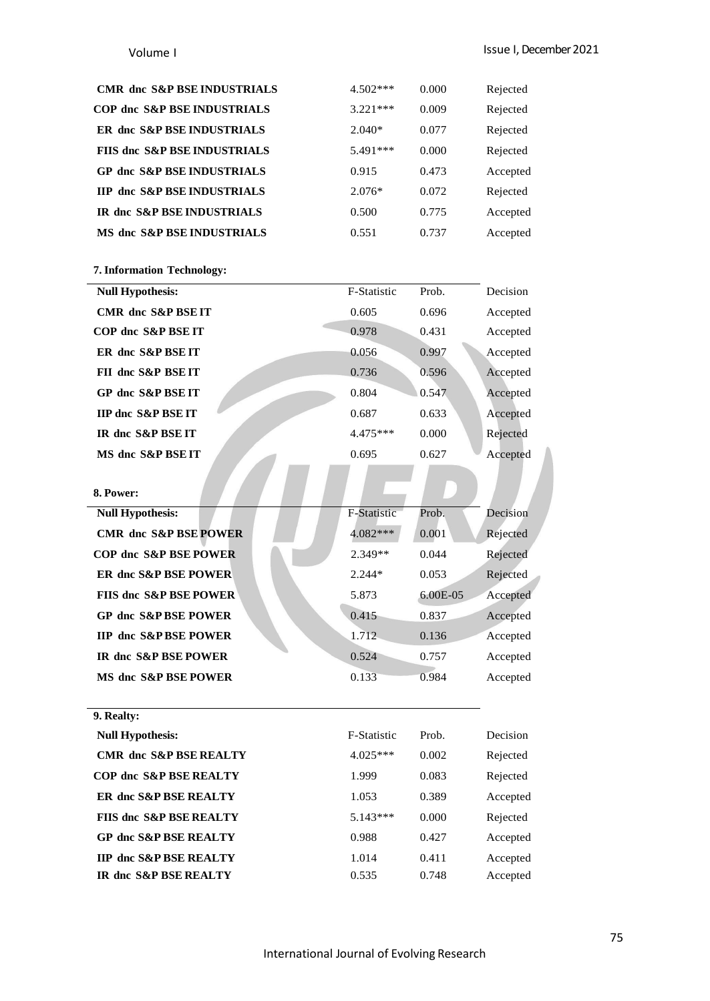### Issue I, December 2021

### Volume I

| <b>CMR</b> dnc S&P BSE INDUSTRIALS      | $4.502***$ | 0.000 | Rejected |
|-----------------------------------------|------------|-------|----------|
| <b>COP dnc S&amp;P BSE INDUSTRIALS</b>  | $3.221***$ | 0.009 | Rejected |
| ER dnc S&P BSE INDUSTRIALS              | $2.040*$   | 0.077 | Rejected |
| <b>FIIS dnc S&amp;P BSE INDUSTRIALS</b> | 5.491***   | 0.000 | Rejected |
| <b>GP dnc S&amp;P BSE INDUSTRIALS</b>   | 0.915      | 0.473 | Accepted |
| <b>IIP dnc S&amp;P BSE INDUSTRIALS</b>  | $2.076*$   | 0.072 | Rejected |
| IR dnc S&P BSE INDUSTRIALS              | 0.500      | 0.775 | Accepted |
| MS dnc S&P BSE INDUSTRIALS              | 0.551      | 0.737 | Accepted |
|                                         |            |       |          |

### **7. Information Technology:**

| <b>Null Hypothesis:</b>       | <b>F-Statistic</b> | Prob. | Decision |
|-------------------------------|--------------------|-------|----------|
| <b>CMR</b> dnc S&P BSE IT     | 0.605              | 0.696 | Accepted |
| COP dnc S&P BSE IT            | 0.978              | 0.431 | Accepted |
| ER dnc S&P BSE IT             | 0.056              | 0.997 | Accepted |
| FII dnc S&P BSE IT            | 0.736              | 0.596 | Accepted |
| GP dnc S&P BSE IT             | 0.804              | 0.547 | Accepted |
| <b>IIP dnc S&amp;P BSE IT</b> | 0.687              | 0.633 | Accepted |
| IR dnc S&P BSE IT             | $4.475***$         | 0.000 | Rejected |
| MS dnc S&P BSE IT             | 0.695              | 0.627 | Accepted |
|                               |                    |       |          |

| 8. Power:                         |                    |            |          |
|-----------------------------------|--------------------|------------|----------|
| <b>Null Hypothesis:</b>           | <b>F-Statistic</b> | Prob.      | Decision |
| <b>CMR</b> dnc S&P BSE POWER      | $4.082***$         | 0.001      | Rejected |
| COP dnc S&P BSE POWER             | $2.349**$          | 0.044      | Rejected |
| <b>ER dnc S&amp;P BSE POWER</b>   | $2.244*$           | 0.053      | Rejected |
| <b>FIIS dnc S&amp;P BSE POWER</b> | 5.873              | $6.00E-05$ | Accepted |
| <b>GP dnc S&amp;P BSE POWER</b>   | 0.415              | 0.837      | Accepted |
| <b>IIP dnc S&amp;P BSE POWER</b>  | 1.712              | 0.136      | Accepted |
| <b>IR dnc S&amp;P BSE POWER</b>   | 0.524              | 0.757      | Accepted |
| MS dnc S&P BSE POWER              | 0.133              | 0.984      | Accepted |

**9. Realty:**

| <b>Null Hypothesis:</b>            | F-Statistic | Prob. | Decision |
|------------------------------------|-------------|-------|----------|
| <b>CMR</b> dnc S&P BSE REALTY      | $4.025***$  | 0.002 | Rejected |
| <b>COP dnc S&amp;P BSE REALTY</b>  | 1.999       | 0.083 | Rejected |
| <b>ER dnc S&amp;P BSE REALTY</b>   | 1.053       | 0.389 | Accepted |
| <b>FIIS dnc S&amp;P BSE REALTY</b> | $5.143***$  | 0.000 | Rejected |
| <b>GP dnc S&amp;P BSE REALTY</b>   | 0.988       | 0.427 | Accepted |
| <b>IIP dnc S&amp;P BSE REALTY</b>  | 1.014       | 0.411 | Accepted |
| IR dnc S&P BSE REALTY              | 0.535       | 0.748 | Accepted |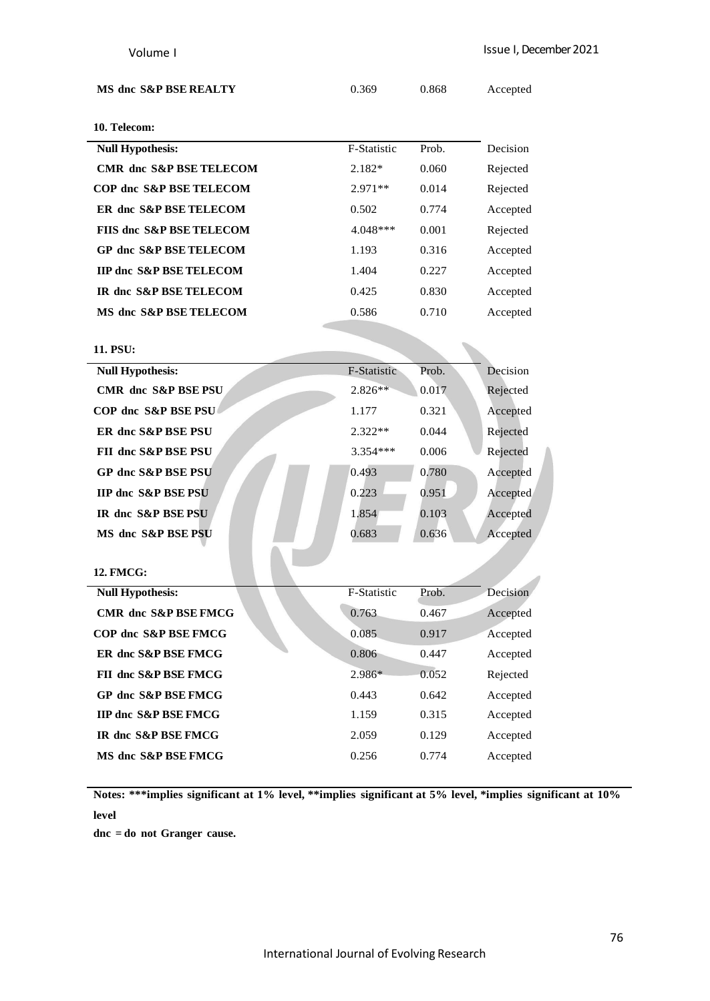| MS dnc S&P BSE REALTY |  |
|-----------------------|--|
|-----------------------|--|

**MS dnc S&P BSE REALTY** 0.369 0.868 Accepted

# **10. Telecom:**

| <b>Null Hypothesis:</b>             | F-Statistic | Prob. | Decision |
|-------------------------------------|-------------|-------|----------|
| <b>CMR</b> dnc S&P BSE TELECOM      | $2.182*$    | 0.060 | Rejected |
| <b>COP dnc S&amp;P BSE TELECOM</b>  | $2.971**$   | 0.014 | Rejected |
| <b>ER dnc S&amp;P BSE TELECOM</b>   | 0.502       | 0.774 | Accepted |
| <b>FIIS dnc S&amp;P BSE TELECOM</b> | $4.048***$  | 0.001 | Rejected |
| <b>GP dnc S&amp;P BSE TELECOM</b>   | 1.193       | 0.316 | Accepted |
| <b>IIP dnc S&amp;P BSE TELECOM</b>  | 1.404       | 0.227 | Accepted |
| IR dnc S&P BSE TELECOM              | 0.425       | 0.830 | Accepted |
| MS dnc S&P BSE TELECOM              | 0.586       | 0.710 | Accepted |
|                                     |             |       |          |
| 11. PSU:                            |             |       |          |

| 11. PSU:                        |             |       |          |
|---------------------------------|-------------|-------|----------|
| <b>Null Hypothesis:</b>         | F-Statistic | Prob. | Decision |
| <b>CMR</b> dnc S&P BSE PSU      | $2.826**$   | 0.017 | Rejected |
| COP dnc S&P BSE PSU             | 1.177       | 0.321 | Accepted |
| ER dnc S&P BSE PSU              | $2.322**$   | 0.044 | Rejected |
| FII dnc S&P BSE PSU             | $3.354***$  | 0.006 | Rejected |
| <b>GP dnc S&amp;P BSE PSU</b>   | 0.493       | 0.780 | Accepted |
| <b>IIP dnc S&amp;P BSE PSU</b>  | 0.223       | 0.951 | Accepted |
| IR dnc S&P BSE PSU              | 1.854       | 0.103 | Accepted |
| MS dnc S&P BSE PSU              | 0.683       | 0.636 | Accepted |
|                                 |             |       |          |
| <b>12. FMCG:</b>                |             |       |          |
| <b>Null Hypothesis:</b>         | F-Statistic | Prob. | Decision |
| <b>CMR</b> dnc S&P BSE FMCG     | 0.763       | 0.467 | Accepted |
| COP dnc S&P BSE FMCG            | 0.085       | 0.917 | Accepted |
| ER dnc S&P BSE FMCG             | 0.806       | 0.447 | Accepted |
| FII dnc S&P BSE FMCG            | 2.986*      | 0.052 | Rejected |
| <b>GP dnc S&amp;P BSE FMCG</b>  | 0.443       | 0.642 | Accepted |
| <b>IIP dnc S&amp;P BSE FMCG</b> | 1.159       | 0.315 | Accepted |
| IR dnc S&P BSE FMCG             | 2.059       | 0.129 | Accepted |
| MS dnc S&P BSE FMCG             | 0.256       | 0.774 | Accepted |
|                                 |             |       |          |

**Notes: \*\*\*implies significant at 1% level, \*\*implies significant at 5% level, \*implies significant at 10% level**

**dnc = do not Granger cause.**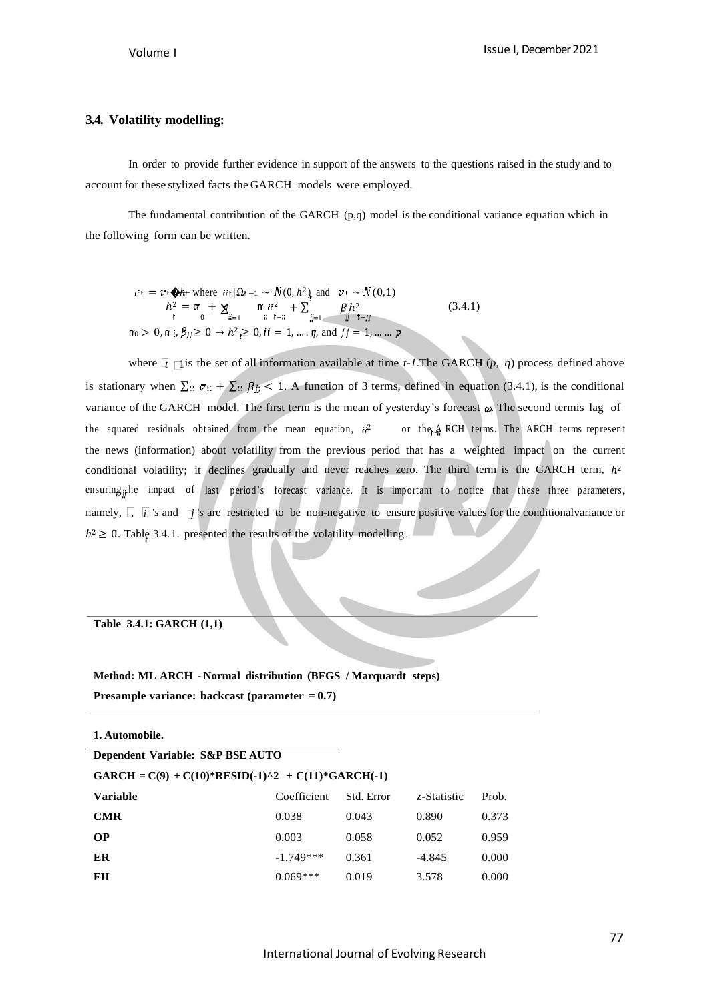### **3.4. Volatility modelling:**

In order to provide further evidence in support of the answers to the questions raised in the study and to account for these stylized facts the GARCH models were employed.

The fundamental contribution of the GARCH  $(p,q)$  model is the conditional variance equation which in the following form can be written.

$$
iii = v_1 \bigoplus h \text{ where } \text{ if } |\Omega_{t-1} \sim N(0, h^2) \text{ and } v_1 \sim N(0, 1)
$$
\n
$$
h^2 = \alpha + \sum_{i=1}^n \alpha_{ii}^2 + \sum_{i=1}^n \beta_i h^2
$$
\n
$$
\alpha_0 > 0, \alpha_{i,j}^2, \beta_{jj} \ge 0 \rightarrow h^2 \ge 0, \text{ if } i = 1, \dots, q, \text{ and } \text{ if } j = 1, \dots, p
$$
\n
$$
(3.4.1)
$$

where  $\lceil t \rceil$  is the set of all information available at time *t-1*. The GARCH (*p, q*) process defined above is stationary when  $\sum u \alpha u + \sum u \beta y < 1$ . A function of 3 terms, defined in equation (3.4.1), is the conditional variance of the GARCH model. The first term is the mean of yesterday's forecast  $\omega$ . The second termis lag of the squared residuals obtained from the mean equation,  $\dot{u}^2$ or the ARCH terms. The ARCH terms represent the news (information) about volatility from the previous period that has a weighted impact on the current conditional volatility; it declines gradually and never reaches zero. The third term is the GARCH term,  $h^2$ ensuring<sub>i</sub>the impact of last period's forecast variance. It is important to notice that these three parameters, namely,  $\Box$  *i s* and  $\Box$  *s* are restricted to be non-negative to ensure positive values for the conditionalvariance or  $h^2 \geq 0$ . Table 3.4.1. presented the results of the volatility modelling.

### **Table 3.4.1: GARCH (1,1)**

# **Method: ML ARCH - Normal distribution (BFGS / Marquardt steps) Presample variance: backcast (parameter = 0.7)**

**1. Automobile.**

| Dependent Variable: S&P BSE AUTO |                                                      |            |             |       |
|----------------------------------|------------------------------------------------------|------------|-------------|-------|
|                                  | $GARCH = C(9) + C(10)*RESID(-1)^2 + C(11)*GARCH(-1)$ |            |             |       |
| Variable                         | Coefficient                                          | Std. Error | z-Statistic | Prob. |
| <b>CMR</b>                       | 0.038                                                | 0.043      | 0.890       | 0.373 |
| OР                               | 0.003                                                | 0.058      | 0.052       | 0.959 |
| ER                               | $-1.749***$                                          | 0.361      | $-4.845$    | 0.000 |
| FH                               | $0.069***$                                           | 0.019      | 3.578       | 0.000 |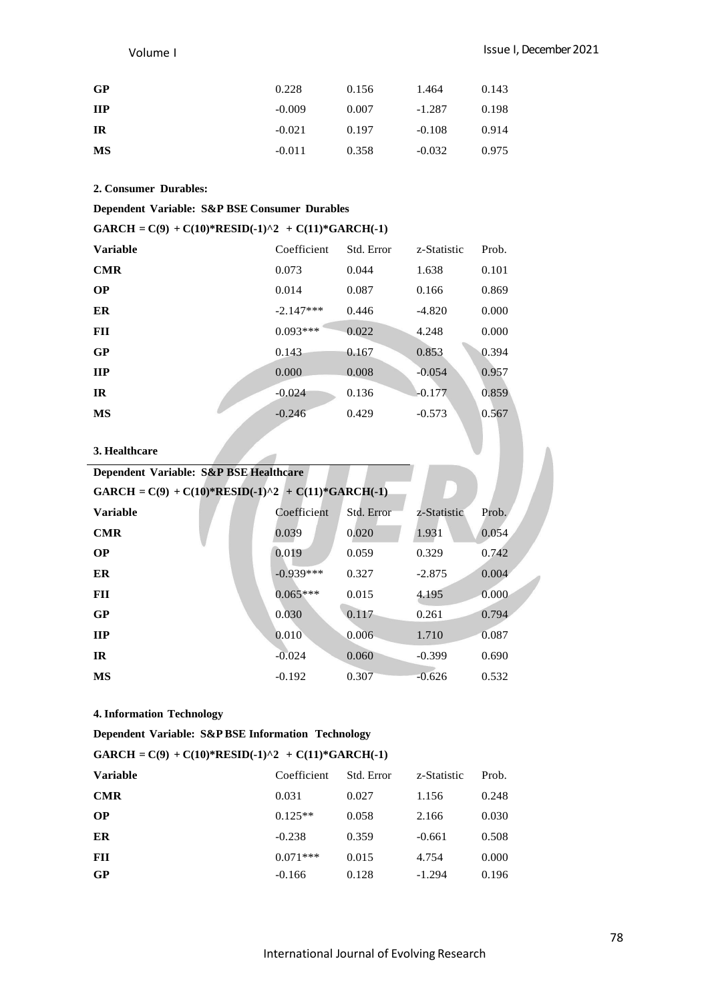# Issue I, December 2021

### Volume I

| GP         | 0.228    | 0.156 | 1.464    | 0.143 |
|------------|----------|-------|----------|-------|
| <b>IIP</b> | $-0.009$ | 0.007 | $-1.287$ | 0.198 |
| IR         | $-0.021$ | 0.197 | $-0.108$ | 0.914 |
| MS         | $-0.011$ | 0.358 | $-0.032$ | 0.975 |

# **2. Consumer Durables:**

# **Dependent Variable: S&P BSE Consumer Durables**

| GARCH = $C(9) + C(10)*RESID(-1)^2 + C(11)*GARCH(-1)$ |             |            |             |       |  |
|------------------------------------------------------|-------------|------------|-------------|-------|--|
| <b>Variable</b>                                      | Coefficient | Std. Error | z-Statistic | Prob. |  |
| <b>CMR</b>                                           | 0.073       | 0.044      | 1.638       | 0.101 |  |
| <b>OP</b>                                            | 0.014       | 0.087      | 0.166       | 0.869 |  |
| ER                                                   | $-2.147***$ | 0.446      | $-4.820$    | 0.000 |  |
| FII                                                  | $0.093***$  | 0.022      | 4.248       | 0.000 |  |
| GP                                                   | 0.143       | 0.167      | 0.853       | 0.394 |  |
| <b>IIP</b>                                           | 0.000       | 0.008      | $-0.054$    | 0.957 |  |
| IR                                                   | $-0.024$    | 0.136      | $-0.177$    | 0.859 |  |
| MS                                                   | $-0.246$    | 0.429      | $-0.573$    | 0.567 |  |

### **3. Healthcare**

| Dependent Variable: S&P BSE Healthcare               |             |            |             |       |  |  |
|------------------------------------------------------|-------------|------------|-------------|-------|--|--|
| GARCH = $C(9) + C(10)*RESID(-1)^2 + C(11)*GARCH(-1)$ |             |            |             |       |  |  |
| <b>Variable</b>                                      | Coefficient | Std. Error | z-Statistic | Prob. |  |  |
| <b>CMR</b>                                           | 0.039       | 0.020      | 1.931       | 0.054 |  |  |
| <b>OP</b>                                            | 0.019       | 0.059      | 0.329       | 0.742 |  |  |
| ER                                                   | $-0.939***$ | 0.327      | $-2.875$    | 0.004 |  |  |
| FII                                                  | $0.065***$  | 0.015      | 4.195       | 0.000 |  |  |
| GP                                                   | 0.030       | 0.117      | 0.261       | 0.794 |  |  |
| <b>IIP</b>                                           | 0.010       | 0.006      | 1.710       | 0.087 |  |  |
| <b>IR</b>                                            | $-0.024$    | 0.060      | $-0.399$    | 0.690 |  |  |
| MS                                                   | $-0.192$    | 0.307      | $-0.626$    | 0.532 |  |  |

### **4. Information Technology**

**Dependent Variable: S&P BSE Information Technology**

## **GARCH = C(9) + C(10)\*RESID(-1)^2 + C(11)\*GARCH(-1)**

| <b>Variable</b> | Coefficient | Std. Error | z-Statistic | Prob. |
|-----------------|-------------|------------|-------------|-------|
| <b>CMR</b>      | 0.031       | 0.027      | 1.156       | 0.248 |
| <b>OP</b>       | $0.125**$   | 0.058      | 2.166       | 0.030 |
| ER              | $-0.238$    | 0.359      | $-0.661$    | 0.508 |
| FII             | $0.071***$  | 0.015      | 4.754       | 0.000 |
| GP              | $-0.166$    | 0.128      | $-1.294$    | 0.196 |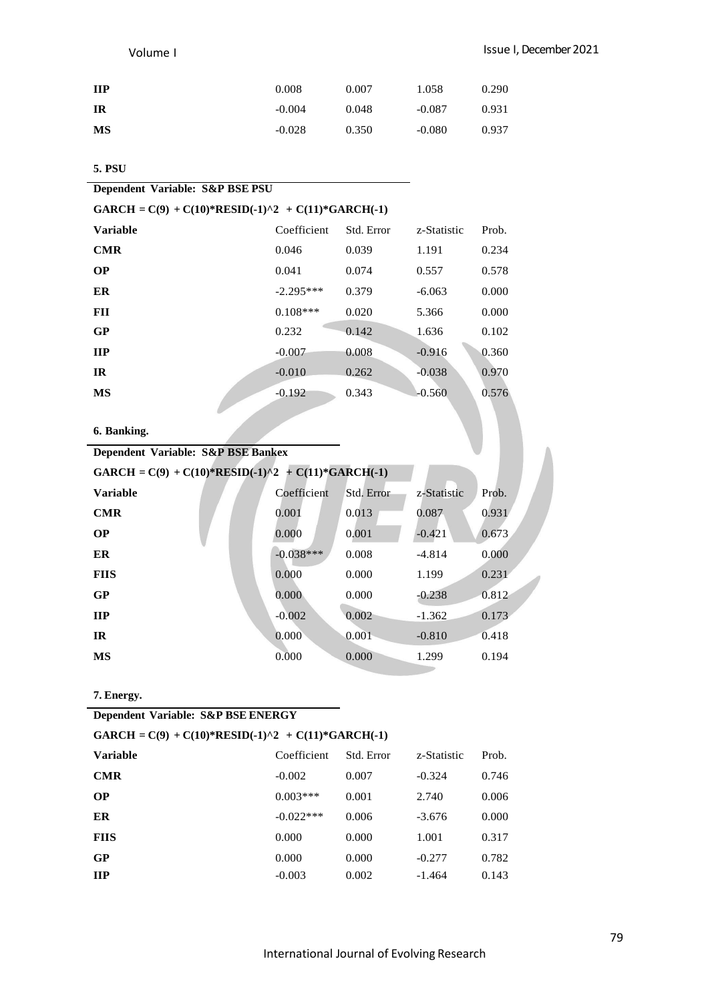| <b>IIP</b> | 0.008    | 0.007 | 1.058    | 0.290 |
|------------|----------|-------|----------|-------|
| <b>IR</b>  | $-0.004$ | 0.048 | $-0.087$ | 0.931 |
| MS         | $-0.028$ | 0.350 | $-0.080$ | 0.937 |

# **5. PSU**

| Dependent Variable: S&P BSE PSU                      |  |
|------------------------------------------------------|--|
| $GARCH = C(9) + C(10)*RESID(-1)^2 + C(11)*GARCH(-1)$ |  |
|                                                      |  |

| <b>Variable</b> | Coefficient | Std. Error | z-Statistic | Prob. |
|-----------------|-------------|------------|-------------|-------|
| <b>CMR</b>      | 0.046       | 0.039      | 1.191       | 0.234 |
| <b>OP</b>       | 0.041       | 0.074      | 0.557       | 0.578 |
| ER              | $-2.295***$ | 0.379      | $-6.063$    | 0.000 |
| FII             | $0.108***$  | 0.020      | 5.366       | 0.000 |
| <b>GP</b>       | 0.232       | 0.142      | 1.636       | 0.102 |
| $\mathbf{H}$    | $-0.007$    | 0.008      | $-0.916$    | 0.360 |
| IR              | $-0.010$    | 0.262      | $-0.038$    | 0.970 |
| MS              | $-0.192$    | 0.343      | $-0.560$    | 0.576 |
|                 |             |            |             |       |
| 6. Banking.     |             |            |             |       |

| Dependent Variable: S&P BSE Bankex                   |             |            |             |       |
|------------------------------------------------------|-------------|------------|-------------|-------|
| GARCH = $C(9) + C(10)*RESID(-1)^2 + C(11)*GARCH(-1)$ |             |            |             |       |
| <b>Variable</b>                                      | Coefficient | Std. Error | z-Statistic | Prob. |
| <b>CMR</b>                                           | 0.001       | 0.013      | 0.087       | 0.931 |
| <b>OP</b>                                            | 0.000       | 0.001      | $-0.421$    | 0.673 |
| ER                                                   | $-0.038***$ | 0.008      | $-4.814$    | 0.000 |
| <b>FIIS</b>                                          | 0.000       | 0.000      | 1.199       | 0.231 |
| GP                                                   | 0.000       | 0.000      | $-0.238$    | 0.812 |
| <b>IIP</b>                                           | $-0.002$    | 0.002      | $-1.362$    | 0.173 |
| IR                                                   | 0.000       | 0.001      | $-0.810$    | 0.418 |
| <b>MS</b>                                            | 0.000       | 0.000      | 1.299       | 0.194 |

**7. Energy.**

| Dependent Variable: S&P BSE ENERGY |
|------------------------------------|
|------------------------------------|

| GARCH = $C(9) + C(10)*RESID(-1)^2 + C(11)*GARCH(-1)$ |  |
|------------------------------------------------------|--|
|------------------------------------------------------|--|

| <b>Variable</b> | Coefficient | Std. Error | z-Statistic | Prob. |
|-----------------|-------------|------------|-------------|-------|
| <b>CMR</b>      | $-0.002$    | 0.007      | $-0.324$    | 0.746 |
| <b>OP</b>       | $0.003***$  | 0.001      | 2.740       | 0.006 |
| ER              | $-0.022***$ | 0.006      | $-3.676$    | 0.000 |
| <b>FIIS</b>     | 0.000       | 0.000      | 1.001       | 0.317 |
| GP              | 0.000       | 0.000      | $-0.277$    | 0.782 |
| $_{\rm HP}$     | $-0.003$    | 0.002      | $-1.464$    | 0.143 |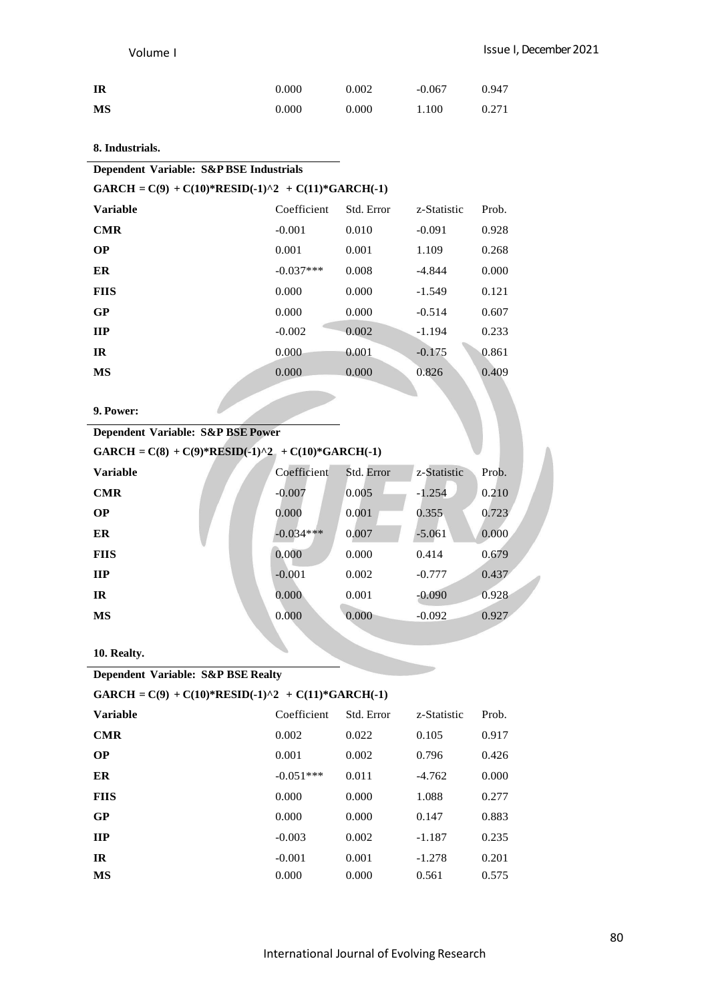| IR | 0.000 | 0.002 | $-0.067$ | 0.947 |
|----|-------|-------|----------|-------|
| MS | 0.000 | 0.000 | 1.100    | 0.271 |

# **8. Industrials.**

### **GARCH** =  $C(9) + C(10)*RESID(-1)^2 + C(11)*GARCH(-1)$

| <b>Variable</b> | Coefficient | Std. Error | z-Statistic | Prob. |
|-----------------|-------------|------------|-------------|-------|
| <b>CMR</b>      | $-0.001$    | 0.010      | $-0.091$    | 0.928 |
| <b>OP</b>       | 0.001       | 0.001      | 1.109       | 0.268 |
| ER              | $-0.037***$ | 0.008      | $-4.844$    | 0.000 |
| <b>FIIS</b>     | 0.000       | 0.000      | $-1.549$    | 0.121 |
| GP              | 0.000       | 0.000      | $-0.514$    | 0.607 |
| $_{\rm IIP}$    | $-0.002$    | 0.002      | $-1.194$    | 0.233 |
| IR              | 0.000       | 0.001      | $-0.175$    | 0.861 |
| MS              | 0.000       | 0.000      | 0.826       | 0.409 |
|                 |             |            |             |       |

**9. Power:**

# **Dependent Variable: S&P BSE Power**

# **GARCH** =  $C(8)$  +  $C(9)$ \***RESID**(-1)^2 +  $C(10)$ \***GARCH(-1)**

| <b>Variable</b> | Coefficient | Std. Error | z-Statistic | Prob. |
|-----------------|-------------|------------|-------------|-------|
| <b>CMR</b>      | $-0.007$    | 0.005      | $-1.254$    | 0.210 |
| <b>OP</b>       | 0.000       | 0.001      | 0.355       | 0.723 |
| ER              | $-0.034***$ | 0.007      | $-5.061$    | 0.000 |
| <b>FIIS</b>     | 0.000       | 0.000      | 0.414       | 0.679 |
| $\mathbf{H}$    | $-0.001$    | 0.002      | $-0.777$    | 0.437 |
| IR              | 0.000       | 0.001      | $-0.090$    | 0.928 |
| MS              | 0.000       | 0.000      | $-0.092$    | 0.927 |
|                 |             |            |             |       |

**10. Realty.**

**Dependent Variable: S&P BSE Realty**

| GARCH = $C(9) + C(10)*RESID(-1)^2 + C(11)*GARCH(-1)$ |             |            |             |       |
|------------------------------------------------------|-------------|------------|-------------|-------|
| <b>Variable</b>                                      | Coefficient | Std. Error | z-Statistic | Prob. |
| <b>CMR</b>                                           | 0.002       | 0.022      | 0.105       | 0.917 |
| <b>OP</b>                                            | 0.001       | 0.002      | 0.796       | 0.426 |
| ER                                                   | $-0.051***$ | 0.011      | $-4.762$    | 0.000 |
| <b>FIIS</b>                                          | 0.000       | 0.000      | 1.088       | 0.277 |
| GP                                                   | 0.000       | 0.000      | 0.147       | 0.883 |

**IIP**  $-0.003$   $0.002$   $-1.187$   $0.235$ **IR**  $-0.001$   $0.001$   $-1.278$   $0.201$ **MS** 0.000 0.000 0.561 0.575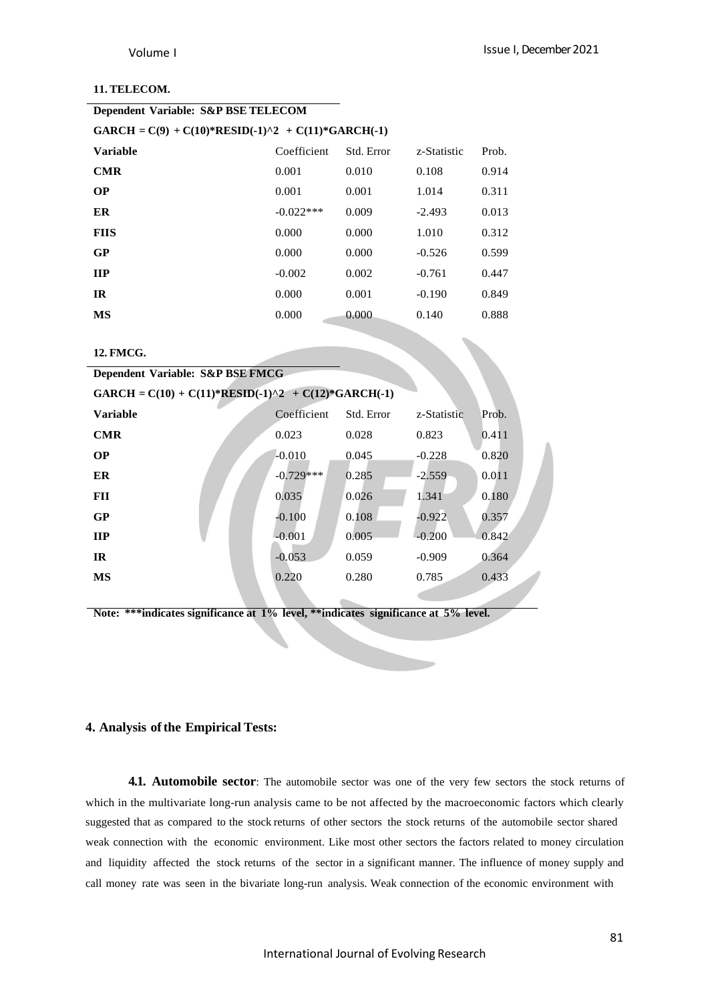# **11. TELECOM.**

| Dependent Variable: S&P BSE TELECOM                  |             |            |             |       |  |
|------------------------------------------------------|-------------|------------|-------------|-------|--|
| $GARCH = C(9) + C(10)*RESID(-1)^2 + C(11)*GARCH(-1)$ |             |            |             |       |  |
| Variable                                             | Coefficient | Std. Error | z-Statistic | Prob. |  |
| <b>CMR</b>                                           | 0.001       | 0.010      | 0.108       | 0.914 |  |
| <b>OP</b>                                            | 0.001       | 0.001      | 1.014       | 0.311 |  |
| ER                                                   | $-0.022***$ | 0.009      | $-2.493$    | 0.013 |  |
| <b>FIIS</b>                                          | 0.000       | 0.000      | 1.010       | 0.312 |  |
| GP                                                   | 0.000       | 0.000      | $-0.526$    | 0.599 |  |
| <b>IIP</b>                                           | $-0.002$    | 0.002      | $-0.761$    | 0.447 |  |
| <b>IR</b>                                            | 0.000       | 0.001      | $-0.190$    | 0.849 |  |
| МS                                                   | 0.000       | 0.000      | 0.140       | 0.888 |  |
|                                                      |             |            |             |       |  |

### **12. FMCG.**

| Dependent Variable: S&P BSE FMCG                      |             |            |             |       |  |
|-------------------------------------------------------|-------------|------------|-------------|-------|--|
| GARCH = $C(10) + C(11)*RESID(-1)^2 + C(12)*GARCH(-1)$ |             |            |             |       |  |
| <b>Variable</b>                                       | Coefficient | Std. Error | z-Statistic | Prob. |  |
| <b>CMR</b>                                            | 0.023       | 0.028      | 0.823       | 0.411 |  |
| <b>OP</b>                                             | $-0.010$    | 0.045      | $-0.228$    | 0.820 |  |
| ER                                                    | $-0.729***$ | 0.285      | $-2.559$    | 0.011 |  |
| <b>FII</b>                                            | 0.035       | 0.026      | 1.341       | 0.180 |  |
| GP                                                    | $-0.100$    | 0.108      | $-0.922$    | 0.357 |  |
| $\mathbf{H}$                                          | $-0.001$    | 0.005      | $-0.200$    | 0.842 |  |
| IR                                                    | $-0.053$    | 0.059      | $-0.909$    | 0.364 |  |
| <b>MS</b>                                             | 0.220       | 0.280      | 0.785       | 0.433 |  |
|                                                       |             |            |             |       |  |

**Note: \*\*\*indicates significance at 1% level, \*\*indicates significance at 5% level.**

#### **4. Analysis ofthe Empirical Tests:**

**4.1. Automobile sector**: The automobile sector was one of the very few sectors the stock returns of which in the multivariate long-run analysis came to be not affected by the macroeconomic factors which clearly suggested that as compared to the stock returns of other sectors the stock returns of the automobile sector shared weak connection with the economic environment. Like most other sectors the factors related to money circulation and liquidity affected the stock returns of the sector in a significant manner. The influence of money supply and call money rate was seen in the bivariate long-run analysis. Weak connection of the economic environment with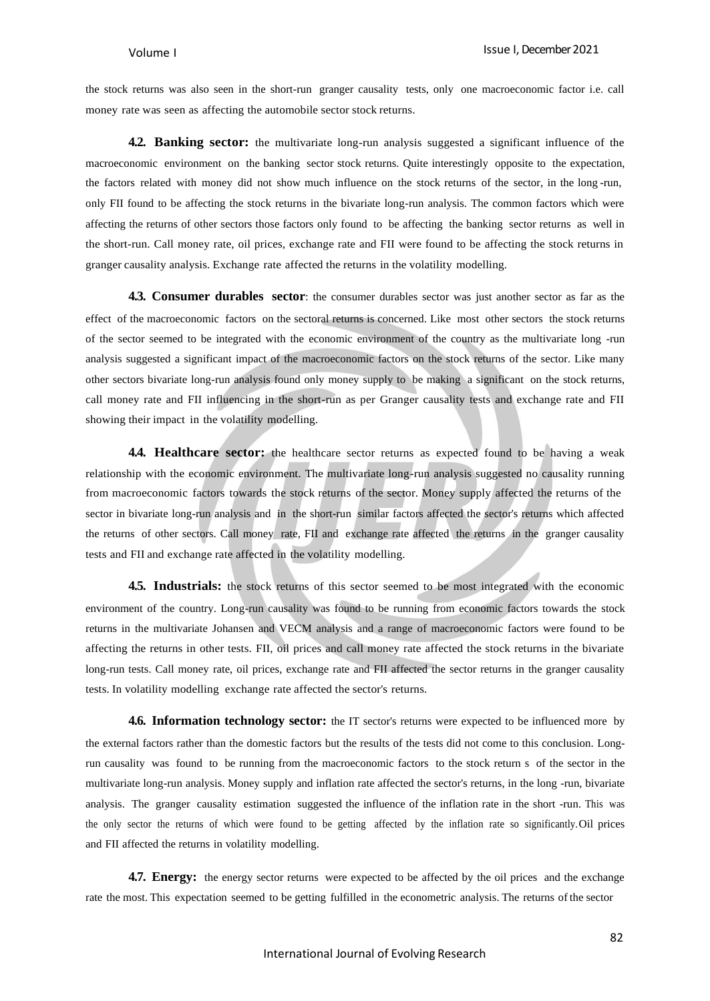the stock returns was also seen in the short-run granger causality tests, only one macroeconomic factor i.e. call money rate was seen as affecting the automobile sector stock returns.

**4.2. Banking sector:** the multivariate long-run analysis suggested a significant influence of the macroeconomic environment on the banking sector stock returns. Quite interestingly opposite to the expectation, the factors related with money did not show much influence on the stock returns of the sector, in the long -run, only FII found to be affecting the stock returns in the bivariate long-run analysis. The common factors which were affecting the returns of other sectors those factors only found to be affecting the banking sector returns as well in the short-run. Call money rate, oil prices, exchange rate and FII were found to be affecting the stock returns in granger causality analysis. Exchange rate affected the returns in the volatility modelling.

**4.3. Consumer durables sector**: the consumer durables sector was just another sector as far as the effect of the macroeconomic factors on the sectoral returns is concerned. Like most other sectors the stock returns of the sector seemed to be integrated with the economic environment of the country as the multivariate long -run analysis suggested a significant impact of the macroeconomic factors on the stock returns of the sector. Like many other sectors bivariate long-run analysis found only money supply to be making a significant on the stock returns, call money rate and FII influencing in the short-run as per Granger causality tests and exchange rate and FII showing their impact in the volatility modelling.

**4.4. Healthcare sector:** the healthcare sector returns as expected found to be having a weak relationship with the economic environment. The multivariate long-run analysis suggested no causality running from macroeconomic factors towards the stock returns of the sector. Money supply affected the returns of the sector in bivariate long-run analysis and in the short-run similar factors affected the sector's returns which affected the returns of other sectors. Call money rate, FII and exchange rate affected the returns in the granger causality tests and FII and exchange rate affected in the volatility modelling.

**4.5. Industrials:** the stock returns of this sector seemed to be most integrated with the economic environment of the country. Long-run causality was found to be running from economic factors towards the stock returns in the multivariate Johansen and VECM analysis and a range of macroeconomic factors were found to be affecting the returns in other tests. FII, oil prices and call money rate affected the stock returns in the bivariate long-run tests. Call money rate, oil prices, exchange rate and FII affected the sector returns in the granger causality tests. In volatility modelling exchange rate affected the sector's returns.

**4.6. Information technology sector:** the IT sector's returns were expected to be influenced more by the external factors rather than the domestic factors but the results of the tests did not come to this conclusion. Longrun causality was found to be running from the macroeconomic factors to the stock return s of the sector in the multivariate long-run analysis. Money supply and inflation rate affected the sector's returns, in the long -run, bivariate analysis. The granger causality estimation suggested the influence of the inflation rate in the short -run. This was the only sector the returns of which were found to be getting affected by the inflation rate so significantly.Oil prices and FII affected the returns in volatility modelling.

**4.7. Energy:** the energy sector returns were expected to be affected by the oil prices and the exchange rate the most. This expectation seemed to be getting fulfilled in the econometric analysis. The returns of the sector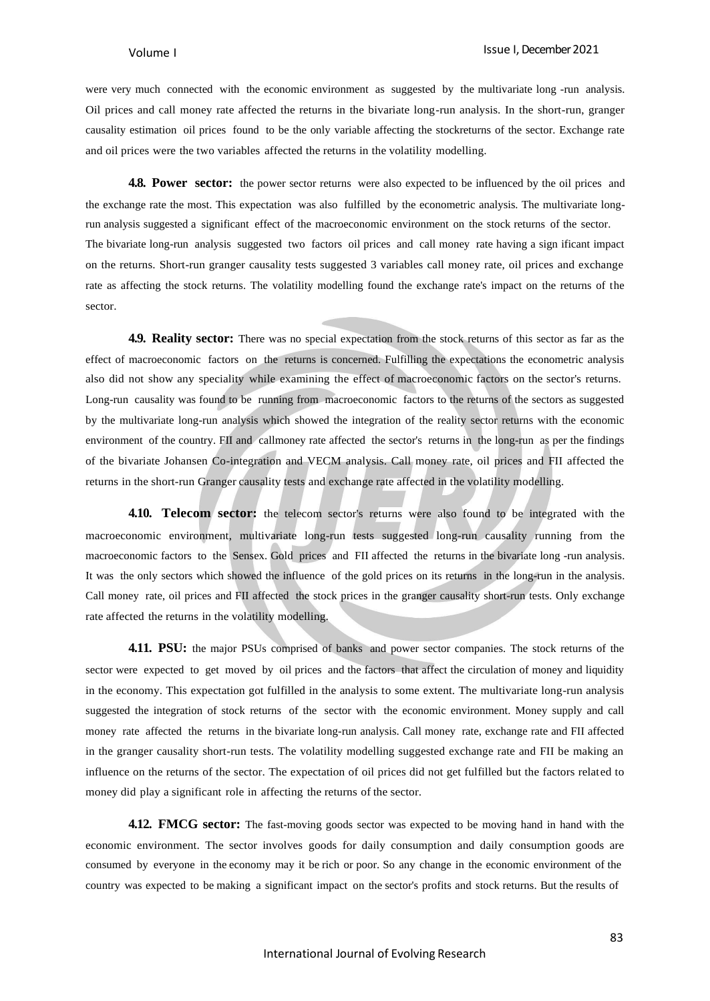were very much connected with the economic environment as suggested by the multivariate long -run analysis. Oil prices and call money rate affected the returns in the bivariate long-run analysis. In the short-run, granger causality estimation oil prices found to be the only variable affecting the stockreturns of the sector. Exchange rate and oil prices were the two variables affected the returns in the volatility modelling.

**4.8. Power sector:** the power sector returns were also expected to be influenced by the oil prices and the exchange rate the most. This expectation was also fulfilled by the econometric analysis. The multivariate longrun analysis suggested a significant effect of the macroeconomic environment on the stock returns of the sector. The bivariate long-run analysis suggested two factors oil prices and call money rate having a sign ificant impact on the returns. Short-run granger causality tests suggested 3 variables call money rate, oil prices and exchange rate as affecting the stock returns. The volatility modelling found the exchange rate's impact on the returns of the sector.

**4.9. Reality sector:** There was no special expectation from the stock returns of this sector as far as the effect of macroeconomic factors on the returns is concerned. Fulfilling the expectations the econometric analysis also did not show any speciality while examining the effect of macroeconomic factors on the sector's returns. Long-run causality was found to be running from macroeconomic factors to the returns of the sectors as suggested by the multivariate long-run analysis which showed the integration of the reality sector returns with the economic environment of the country. FII and callmoney rate affected the sector's returns in the long-run as per the findings of the bivariate Johansen Co-integration and VECM analysis. Call money rate, oil prices and FII affected the returns in the short-run Granger causality tests and exchange rate affected in the volatility modelling.

**4.10. Telecom sector:** the telecom sector's returns were also found to be integrated with the macroeconomic environment, multivariate long-run tests suggested long-run causality running from the macroeconomic factors to the Sensex. Gold prices and FII affected the returns in the bivariate long -run analysis. It was the only sectors which showed the influence of the gold prices on its returns in the long-run in the analysis. Call money rate, oil prices and FII affected the stock prices in the granger causality short-run tests. Only exchange rate affected the returns in the volatility modelling.

**4.11. PSU:** the major PSUs comprised of banks and power sector companies. The stock returns of the sector were expected to get moved by oil prices and the factors that affect the circulation of money and liquidity in the economy. This expectation got fulfilled in the analysis to some extent. The multivariate long-run analysis suggested the integration of stock returns of the sector with the economic environment. Money supply and call money rate affected the returns in the bivariate long-run analysis. Call money rate, exchange rate and FII affected in the granger causality short-run tests. The volatility modelling suggested exchange rate and FII be making an influence on the returns of the sector. The expectation of oil prices did not get fulfilled but the factors related to money did play a significant role in affecting the returns of the sector.

**4.12. FMCG sector:** The fast-moving goods sector was expected to be moving hand in hand with the economic environment. The sector involves goods for daily consumption and daily consumption goods are consumed by everyone in the economy may it be rich or poor. So any change in the economic environment of the country was expected to be making a significant impact on the sector's profits and stock returns. But the results of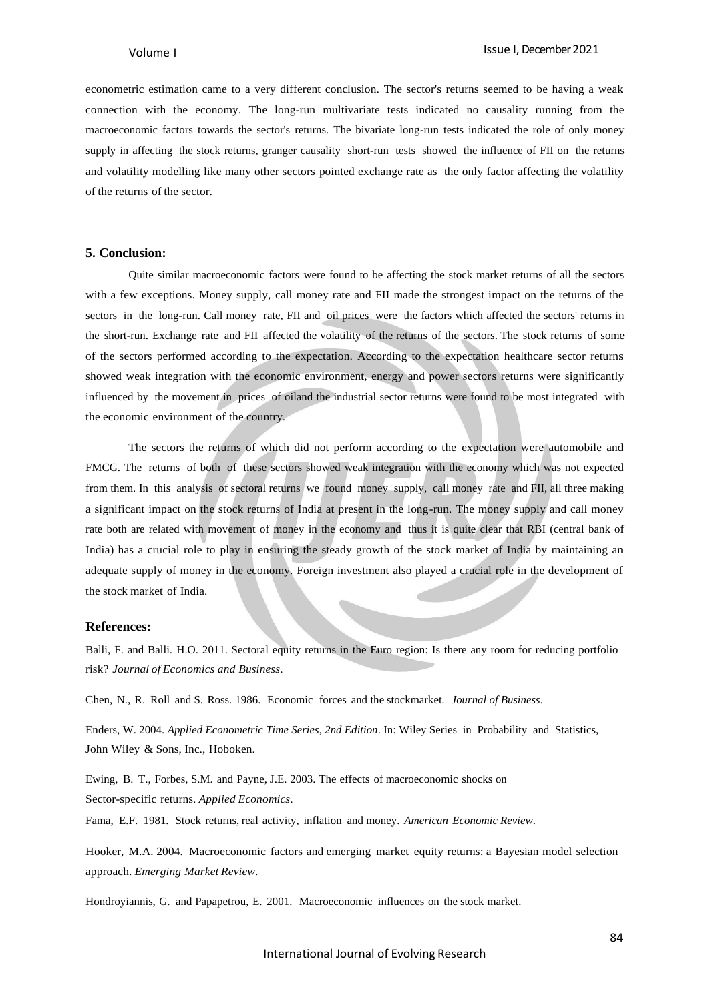econometric estimation came to a very different conclusion. The sector's returns seemed to be having a weak connection with the economy. The long-run multivariate tests indicated no causality running from the macroeconomic factors towards the sector's returns. The bivariate long-run tests indicated the role of only money supply in affecting the stock returns, granger causality short-run tests showed the influence of FII on the returns and volatility modelling like many other sectors pointed exchange rate as the only factor affecting the volatility of the returns of the sector.

#### **5. Conclusion:**

Quite similar macroeconomic factors were found to be affecting the stock market returns of all the sectors with a few exceptions. Money supply, call money rate and FII made the strongest impact on the returns of the sectors in the long-run. Call money rate, FII and oil prices were the factors which affected the sectors' returns in the short-run. Exchange rate and FII affected the volatility of the returns of the sectors. The stock returns of some of the sectors performed according to the expectation. According to the expectation healthcare sector returns showed weak integration with the economic environment, energy and power sectors returns were significantly influenced by the movement in prices of oiland the industrial sector returns were found to be most integrated with the economic environment of the country.

The sectors the returns of which did not perform according to the expectation were automobile and FMCG. The returns of both of these sectors showed weak integration with the economy which was not expected from them. In this analysis of sectoral returns we found money supply, call money rate and FII, all three making a significant impact on the stock returns of India at present in the long-run. The money supply and call money rate both are related with movement of money in the economy and thus it is quite clear that RBI (central bank of India) has a crucial role to play in ensuring the steady growth of the stock market of India by maintaining an adequate supply of money in the economy. Foreign investment also played a crucial role in the development of the stock market of India.

#### **References:**

Balli, F. and Balli. H.O. 2011. Sectoral equity returns in the Euro region: Is there any room for reducing portfolio risk? *Journal of Economics and Business*.

Chen, N., R. Roll and S. Ross. 1986. Economic forces and the stockmarket*. Journal of Business*.

Enders, W. 2004. *Applied Econometric Time Series, 2nd Edition*. In: Wiley Series in Probability and Statistics, John Wiley & Sons, Inc., Hoboken.

Ewing, B. T., Forbes, S.M. and Payne, J.E. 2003. The effects of macroeconomic shocks on Sector-specific returns. *Applied Economics*.

Fama, E.F. 1981. Stock returns, real activity, inflation and money. *American Economic Review*.

Hooker, M.A. 2004. Macroeconomic factors and emerging market equity returns: a Bayesian model selection approach. *Emerging Market Review*.

Hondroyiannis, G. and Papapetrou, E. 2001. Macroeconomic influences on the stock market.